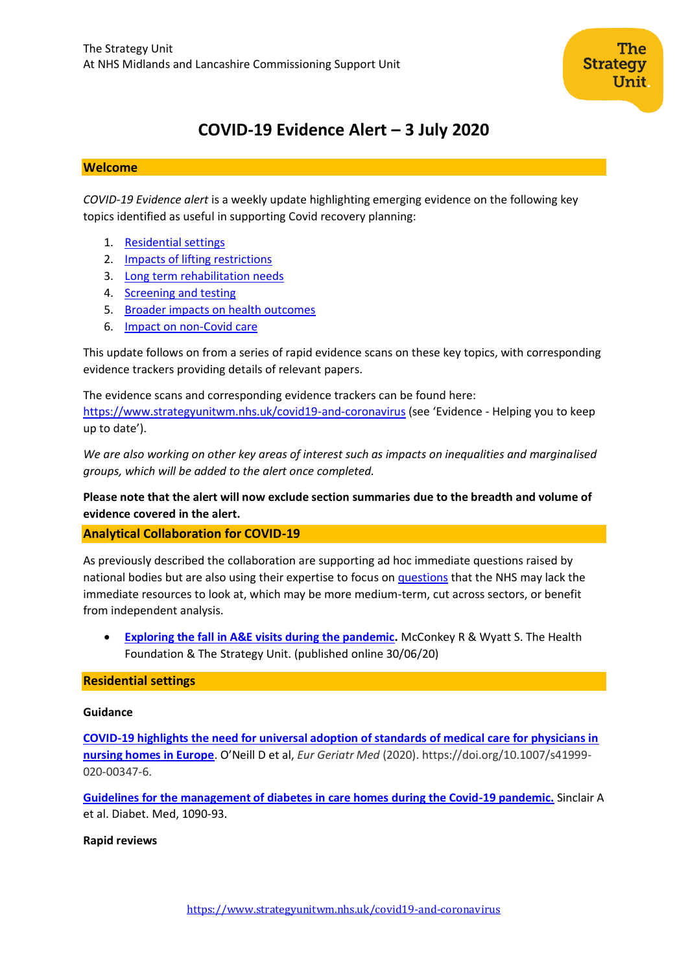# **COVID-19 Evidence Alert – 3 July 2020**

# **Welcome**

*COVID-19 Evidence alert* is a weekly update highlighting emerging evidence on the following key topics identified as useful in supporting Covid recovery planning:

- 1. [Residential settings](#page-0-0)
- 2. Impacts of lifting restrictions
- 3. Long term rehabilitation needs
- 4. [Screening and testing](#page-5-0)
- 5. [Broader impacts on health outcomes](#page-8-0)
- 6. Impact on non-Covid care

This update follows on from a series of rapid evidence scans on these key topics, with corresponding evidence trackers providing details of relevant papers.

The evidence scans and corresponding evidence trackers can be found here:

<https://www.strategyunitwm.nhs.uk/covid19-and-coronavirus> (see 'Evidence - Helping you to keep up to date').

*We are also working on other key areas of interest such as impacts on inequalities and marginalised groups, which will be added to the alert once completed.*

# <span id="page-0-0"></span>**Please note that the alert will now exclude section summaries due to the breadth and volume of evidence covered in the alert.**

**Analytical Collaboration for COVID-19**

As previously described the collaboration are supporting ad hoc immediate questions raised by national bodies but are also using their expertise to focus on [questions](https://www.strategyunitwm.nhs.uk/sites/default/files/2020-05/Covid%20Collaboration%20Summaries_0.pdf) that the NHS may lack the immediate resources to look at, which may be more medium-term, cut across sectors, or benefit from independent analysis.

• **[Exploring the fall in A&E visits during the pandemic.](https://www.health.org.uk/news-and-comment/charts-and-infographics)** McConkey R & Wyatt S. The Health Foundation & The Strategy Unit. (published online 30/06/20)

# **Residential settings**

#### **Guidance**

**[COVID-19 highlights the need for universal adoption of standards of medical care for physicians in](https://link.springer.com/article/10.1007%2Fs41999-020-00347-6)  [nursing homes in Europe](https://link.springer.com/article/10.1007%2Fs41999-020-00347-6)**. O'Neill D et al, *Eur Geriatr Med* (2020). https://doi.org/10.1007/s41999- 020-00347-6.

**[Guidelines for the management of diabetes in care homes during the Covid-19 pandemic.](https://onlinelibrary.wiley.com/doi/pdfdirect/10.1111/dme.14317)** Sinclair A et al. Diabet. Med, 1090-93.

# **Rapid reviews**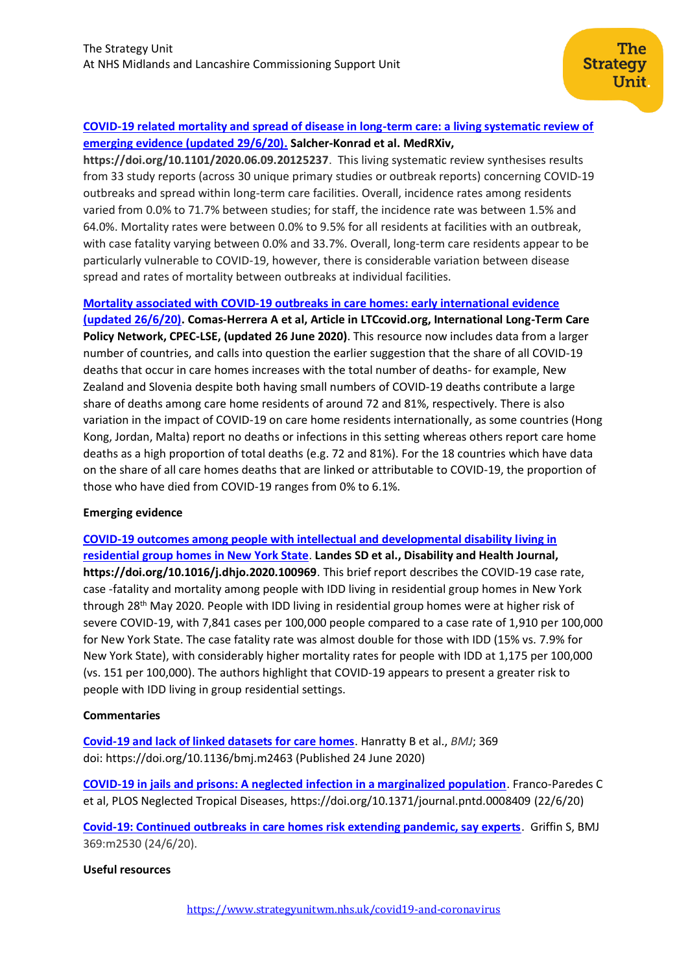# **[COVID-19 related mortality and spread of disease in long-term care: a living systematic review of](https://www.medrxiv.org/content/10.1101/2020.06.09.20125237v2)  [emerging evidence \(updated 29/6/20\).](https://www.medrxiv.org/content/10.1101/2020.06.09.20125237v2) Salcher-Konrad et al. MedRXiv,**

**https://doi.org/10.1101/2020.06.09.20125237**. This living systematic review synthesises results from 33 study reports (across 30 unique primary studies or outbreak reports) concerning COVID-19 outbreaks and spread within long-term care facilities. Overall, incidence rates among residents varied from 0.0% to 71.7% between studies; for staff, the incidence rate was between 1.5% and 64.0%. Mortality rates were between 0.0% to 9.5% for all residents at facilities with an outbreak, with case fatality varying between 0.0% and 33.7%. Overall, long-term care residents appear to be particularly vulnerable to COVID-19, however, there is considerable variation between disease spread and rates of mortality between outbreaks at individual facilities.

# **[Mortality associated with COVID-19 outbreaks in care homes: early international evidence](https://ltccovid.org/wp-content/uploads/2020/06/Mortality-associated-with-COVID-among-people-who-use-long-term-care-26-June-1.pdf)**

**[\(updated 26/6/20\).](https://ltccovid.org/wp-content/uploads/2020/06/Mortality-associated-with-COVID-among-people-who-use-long-term-care-26-June-1.pdf) Comas-Herrera A et al, Article in LTCcovid.org, International Long-Term Care Policy Network, CPEC-LSE, (updated 26 June 2020)**. This resource now includes data from a larger number of countries, and calls into question the earlier suggestion that the share of all COVID-19 deaths that occur in care homes increases with the total number of deaths- for example, New Zealand and Slovenia despite both having small numbers of COVID-19 deaths contribute a large share of deaths among care home residents of around 72 and 81%, respectively. There is also variation in the impact of COVID-19 on care home residents internationally, as some countries (Hong Kong, Jordan, Malta) report no deaths or infections in this setting whereas others report care home deaths as a high proportion of total deaths (e.g. 72 and 81%). For the 18 countries which have data on the share of all care homes deaths that are linked or attributable to COVID-19, the proportion of those who have died from COVID-19 ranges from 0% to 6.1%.

# **Emerging evidence**

**[COVID-19 outcomes among people with intellectual and developmental disability living in](https://www.sciencedirect.com/science/article/pii/S193665742030100X)  [residential group homes in New York State](https://www.sciencedirect.com/science/article/pii/S193665742030100X)**. **Landes SD et al., Disability and Health Journal, https://doi.org/10.1016/j.dhjo.2020.100969**. This brief report describes the COVID-19 case rate, case -fatality and mortality among people with IDD living in residential group homes in New York through 28<sup>th</sup> May 2020. People with IDD living in residential group homes were at higher risk of severe COVID-19, with 7,841 cases per 100,000 people compared to a case rate of 1,910 per 100,000 for New York State. The case fatality rate was almost double for those with IDD (15% vs. 7.9% for New York State), with considerably higher mortality rates for people with IDD at 1,175 per 100,000 (vs. 151 per 100,000). The authors highlight that COVID-19 appears to present a greater risk to people with IDD living in group residential settings.

# **Commentaries**

**[Covid-19 and lack of linked datasets for care homes](https://www.bmj.com/content/369/bmj.m2463)**. Hanratty B et al., *BMJ*; 369 doi: https://doi.org/10.1136/bmj.m2463 (Published 24 June 2020)

**[COVID-19 in jails and prisons: A neglected infection in a marginalized population](https://journals.plos.org/plosntds/article?id=10.1371/journal.pntd.0008409)**. Franco-Paredes C et al, PLOS Neglected Tropical Diseases,<https://doi.org/10.1371/journal.pntd.0008409> (22/6/20)

**[Covid-19: Continued outbreaks in care homes risk extending pandemic, say experts](https://www.bmj.com/content/369/bmj.m2530)**. Griffin S, BMJ 369:m2530 (24/6/20).

# **Useful resources**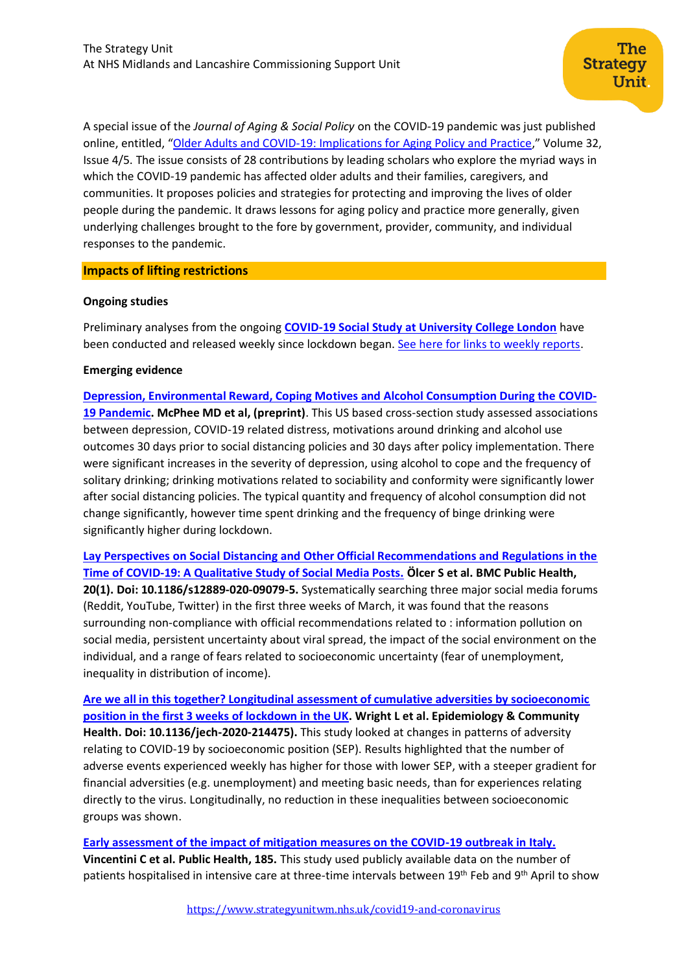A special issue of the *Journal of Aging & Social Policy* on the COVID-19 pandemic was just published online, entitled, "[Older Adults and COVID-19: Implications for Aging Policy and Practice](https://nam10.safelinks.protection.outlook.com/?url=https%3A%2F%2Fwww.tandfonline.com%2Ftoc%2Fwasp20%2Fcurrent&data=02%7C01%7CEdward.Miller%40umb.edu%7Cc9586000c69b4b6835a008d819c76018%7Cb97188711ee94425953c1ace1373eb38%7C0%7C0%7C637287691415813190&sdata=b3NgeW4F%2FJdWOdxHUoEyypl00tEufXMGq8cViCjAY6U%3D&reserved=0)," Volume 32, Issue 4/5. The issue consists of 28 contributions by leading scholars who explore the myriad ways in which the COVID-19 pandemic has affected older adults and their families, caregivers, and communities. It proposes policies and strategies for protecting and improving the lives of older people during the pandemic. It draws lessons for aging policy and practice more generally, given underlying challenges brought to the fore by government, provider, community, and individual responses to the pandemic.

#### **Impacts of lifting restrictions**

#### **Ongoing studies**

Preliminary analyses from the ongoing **COVID-19 Social Study at [University College London](https://www.covidsocialstudy.org/)** have been conducted and released weekly since lockdown began. See here for [links to weekly reports.](https://www.covidsocialstudy.org/results)

#### **Emerging evidence**

**[Depression, Environmental Reward, Coping Motives and Alcohol Consumption During the](http://scholar.google.co.uk/scholar_url?url=https://psyarxiv.com/zvs9f/download%3Fformat%3Dpdf&hl=en&sa=X&d=2735303849424455724&scisig=AAGBfm3NmMHgtSW6WU8hoQEBby4gX-Ut6g&nossl=1&oi=scholaralrt&html=) COVID-[19 Pandemic.](http://scholar.google.co.uk/scholar_url?url=https://psyarxiv.com/zvs9f/download%3Fformat%3Dpdf&hl=en&sa=X&d=2735303849424455724&scisig=AAGBfm3NmMHgtSW6WU8hoQEBby4gX-Ut6g&nossl=1&oi=scholaralrt&html=) McPhee MD et al, (preprint)**. This US based cross-section study assessed associations between depression, COVID-19 related distress, motivations around drinking and alcohol use outcomes 30 days prior to social distancing policies and 30 days after policy implementation. There were significant increases in the severity of depression, using alcohol to cope and the frequency of solitary drinking; drinking motivations related to sociability and conformity were significantly lower after social distancing policies. The typical quantity and frequency of alcohol consumption did not change significantly, however time spent drinking and the frequency of binge drinking were significantly higher during lockdown.

**[Lay Perspectives on Social Distancing and Other Official Recommendations and Regulations in the](https://pubmed.ncbi.nlm.nih.gov/32560716/)  [Time of COVID-19: A Qualitative Study of Social Media Posts.](https://pubmed.ncbi.nlm.nih.gov/32560716/) Ölcer S et al. BMC Public Health, 20(1). Doi: 10.1186/s12889-020-09079-5.** Systematically searching three major social media forums (Reddit, YouTube, Twitter) in the first three weeks of March, it was found that the reasons surrounding non-compliance with official recommendations related to : information pollution on social media, persistent uncertainty about viral spread, the impact of the social environment on the individual, and a range of fears related to socioeconomic uncertainty (fear of unemployment, inequality in distribution of income).

**[Are we all in this together? Longitudinal assessment of cumulative adversities by socioeconomic](https://jech.bmj.com/content/early/2020/06/16/jech-2020-214475.full)  [position in the first 3 weeks of lockdown in the UK.](https://jech.bmj.com/content/early/2020/06/16/jech-2020-214475.full) Wright L et al. Epidemiology & Community Health. Doi: 10.1136/jech-2020-214475).** This study looked at changes in patterns of adversity relating to COVID-19 by socioeconomic position (SEP). Results highlighted that the number of adverse events experienced weekly has higher for those with lower SEP, with a steeper gradient for financial adversities (e.g. unemployment) and meeting basic needs, than for experiences relating directly to the virus. Longitudinally, no reduction in these inequalities between socioeconomic groups was shown.

**[Early assessment of the impact of mitigation measures on the COVID-19 outbreak in Italy.](https://www.sciencedirect.com/science/article/pii/S0033350620302663?via%3Dihub) Vincentini C et al. Public Health, 185.** This study used publicly available data on the number of patients hospitalised in intensive care at three-time intervals between 19<sup>th</sup> Feb and 9<sup>th</sup> April to show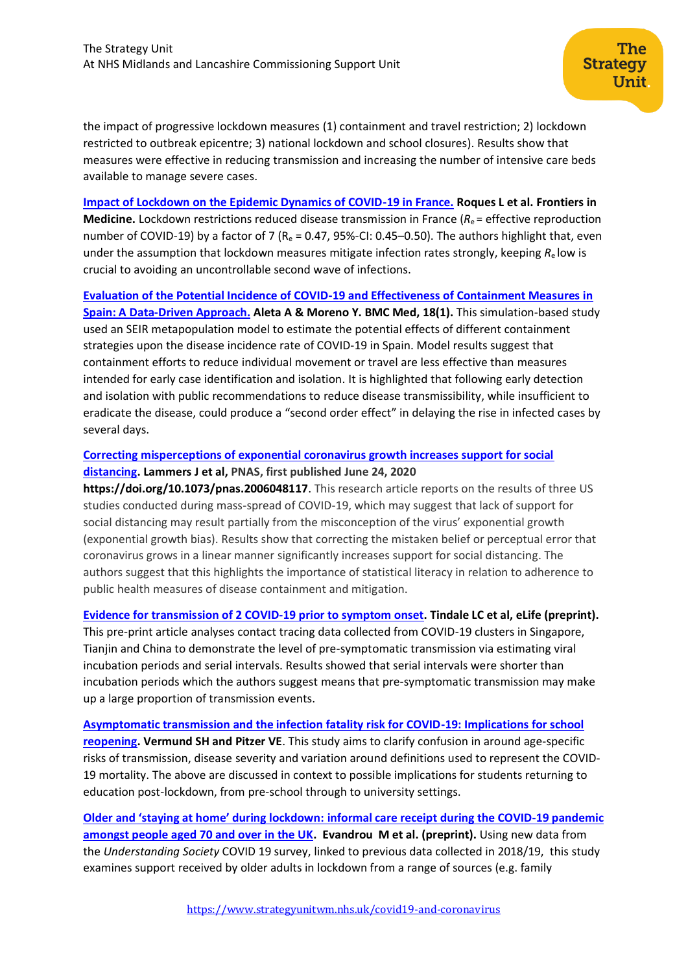the impact of progressive lockdown measures (1) containment and travel restriction; 2) lockdown restricted to outbreak epicentre; 3) national lockdown and school closures). Results show that measures were effective in reducing transmission and increasing the number of intensive care beds available to manage severe cases.

**[Impact of Lockdown on the Epidemic Dynamics of COVID-19 in France.](https://www.frontiersin.org/articles/10.3389/fmed.2020.00274/full) Roques L et al. Frontiers in Medicine.** Lockdown restrictions reduced disease transmission in France ( $R_e$  = effective reproduction number of COVID-19) by a factor of 7 ( $R_e$  = 0.47, 95%-CI: 0.45–0.50). The authors highlight that, even under the assumption that lockdown measures mitigate infection rates strongly, keeping *R*e low is crucial to avoiding an uncontrollable second wave of infections.

**[Evaluation of the Potential Incidence of COVID-19 and Effectiveness of Containment Measures in](https://pubmed.ncbi.nlm.nih.gov/32456689/)  [Spain: A Data-Driven Approach.](https://pubmed.ncbi.nlm.nih.gov/32456689/) Aleta A & Moreno Y. BMC Med, 18(1).** This simulation-based study used an SEIR metapopulation model to estimate the potential effects of different containment strategies upon the disease incidence rate of COVID-19 in Spain. Model results suggest that containment efforts to reduce individual movement or travel are less effective than measures intended for early case identification and isolation. It is highlighted that following early detection and isolation with public recommendations to reduce disease transmissibility, while insufficient to eradicate the disease, could produce a "second order effect" in delaying the rise in infected cases by several days.

# **[Correcting misperceptions of exponential coronavirus growth increases support for social](https://www.pnas.org/content/early/2020/06/23/2006048117)  [distancing.](https://www.pnas.org/content/early/2020/06/23/2006048117) Lammers J et al, PNAS, first published June 24, 2020**

**<https://doi.org/10.1073/pnas.2006048117>**. This research article reports on the results of three US studies conducted during mass-spread of COVID-19, which may suggest that lack of support for social distancing may result partially from the misconception of the virus' exponential growth (exponential growth bias). Results show that correcting the mistaken belief or perceptual error that coronavirus grows in a linear manner significantly increases support for social distancing. The authors suggest that this highlights the importance of statistical literacy in relation to adherence to public health measures of disease containment and mitigation.

# **[Evidence for transmission of 2 COVID-19 prior to symptom onset.](https://elifesciences.org/articles/57149.pdf) Tindale LC et al, eLife (preprint).**

This pre-print article analyses contact tracing data collected from COVID-19 clusters in Singapore, Tianjin and China to demonstrate the level of pre-symptomatic transmission via estimating viral incubation periods and serial intervals. Results showed that serial intervals were shorter than incubation periods which the authors suggest means that pre-symptomatic transmission may make up a large proportion of transmission events.

**[Asymptomatic transmission and the infection fatality risk for COVID-19: Implications for school](https://watermark.silverchair.com/ciaa855.pdf?token=AQECAHi208BE49Ooan9kkhW_Ercy7Dm3ZL_9Cf3qfKAc485ysgAAApwwggKYBgkqhkiG9w0BBwagggKJMIIChQIBADCCAn4GCSqGSIb3DQEHATAeBglghkgBZQMEAS4wEQQMpz6wvGdY4C0SV8eHAgEQgIICT2DBaeV-B8HR1JOJHSqDfAocgSf-r5_o9M60Xq4uJsq2NkiBO79_KuC8mcnPXOC9kJcy4dwLb2vOG_XcYKIat-UVMm5u39qZiioE0hksJlTC6kPw1sMTh140SaGiXd3hhi3e7qEqsupabu5rqsgfLoHxTB8CgipJ7sRsagqOMYYnNRJHG71o3i1ol5beBrYiMUqCS2aPWqUsRUOtoJTDs-7RovSaFt56Z075V9cw_rH_GfMr2clgsJo4VlqHY1ylIPiF7UCg-p7Z0ZaAfnVUr-jJb1I_H9AUPqUgHjsENtY-cd0-IXTr6n6M1GLzzw5v6tk8RZOgZh0mxC8oiYPPgz_WImnDHDmSJnQKNZ1SA0PrZkgXiUAsZcyDCWnhHGciFMCQzyCJxHBqxOlGg7_QPmdjLwGjoQAfXZUhFvp_6vSMTkkl2eRJjbVmEFyrWPYBX_Ck0UpCcJJVkF1WuyD_W2_Yl5q4gU8qJVFJfkIQ85OidWLyjG7mDyiTTrXLKqm1N-SJfspi0zjMvjZJT4MFT4i4ZosHRooxM90avCDQBe4BZ4BqCWqGZuAYgycPBb0QQuQvRekfz0Nu03VcRAUe12K9WwV7z1LWLQRIztZuSmbhBQhsOqH8TFXXrPJnM9Mck4fiucqzWIGTyrkfC4nSkc3g_GJczaS17Yw0AxNp7OZVyIFItx8MkNu-pvYCppanyaEQ_xMLaVU3oHny4RSVRUUhXCe8JRRZuXHSL9vzNqXpcKfpxs_Wpwzg92bEsBS2nDP3u3YYGWlNpcltjVWW_Q)  [reopening.](https://watermark.silverchair.com/ciaa855.pdf?token=AQECAHi208BE49Ooan9kkhW_Ercy7Dm3ZL_9Cf3qfKAc485ysgAAApwwggKYBgkqhkiG9w0BBwagggKJMIIChQIBADCCAn4GCSqGSIb3DQEHATAeBglghkgBZQMEAS4wEQQMpz6wvGdY4C0SV8eHAgEQgIICT2DBaeV-B8HR1JOJHSqDfAocgSf-r5_o9M60Xq4uJsq2NkiBO79_KuC8mcnPXOC9kJcy4dwLb2vOG_XcYKIat-UVMm5u39qZiioE0hksJlTC6kPw1sMTh140SaGiXd3hhi3e7qEqsupabu5rqsgfLoHxTB8CgipJ7sRsagqOMYYnNRJHG71o3i1ol5beBrYiMUqCS2aPWqUsRUOtoJTDs-7RovSaFt56Z075V9cw_rH_GfMr2clgsJo4VlqHY1ylIPiF7UCg-p7Z0ZaAfnVUr-jJb1I_H9AUPqUgHjsENtY-cd0-IXTr6n6M1GLzzw5v6tk8RZOgZh0mxC8oiYPPgz_WImnDHDmSJnQKNZ1SA0PrZkgXiUAsZcyDCWnhHGciFMCQzyCJxHBqxOlGg7_QPmdjLwGjoQAfXZUhFvp_6vSMTkkl2eRJjbVmEFyrWPYBX_Ck0UpCcJJVkF1WuyD_W2_Yl5q4gU8qJVFJfkIQ85OidWLyjG7mDyiTTrXLKqm1N-SJfspi0zjMvjZJT4MFT4i4ZosHRooxM90avCDQBe4BZ4BqCWqGZuAYgycPBb0QQuQvRekfz0Nu03VcRAUe12K9WwV7z1LWLQRIztZuSmbhBQhsOqH8TFXXrPJnM9Mck4fiucqzWIGTyrkfC4nSkc3g_GJczaS17Yw0AxNp7OZVyIFItx8MkNu-pvYCppanyaEQ_xMLaVU3oHny4RSVRUUhXCe8JRRZuXHSL9vzNqXpcKfpxs_Wpwzg92bEsBS2nDP3u3YYGWlNpcltjVWW_Q) Vermund SH and Pitzer VE**. This study aims to clarify confusion in around age-specific risks of transmission, disease severity and variation around definitions used to represent the COVID-19 mortality. The above are discussed in context to possible implications for students returning to education post-lockdown, from pre-school through to university settings.

**Older and 'staying at home' during lockdown: [informal care receipt during the COVID-19 pandemic](http://scholar.google.co.uk/scholar_url?url=https://osf.io/preprints/socarxiv/962dy/download&hl=en&sa=X&d=13887140026512325324&scisig=AAGBfm2DAfg9vrRZxlH2kF0CaQ-eBG65SA&nossl=1&oi=scholaralrt&html=)  [amongst people aged 70 and over in the UK.](http://scholar.google.co.uk/scholar_url?url=https://osf.io/preprints/socarxiv/962dy/download&hl=en&sa=X&d=13887140026512325324&scisig=AAGBfm2DAfg9vrRZxlH2kF0CaQ-eBG65SA&nossl=1&oi=scholaralrt&html=) Evandrou M et al. (preprint).** Using new data from the *Understanding Society* COVID 19 survey, linked to previous data collected in 2018/19, this study examines support received by older adults in lockdown from a range of sources (e.g. family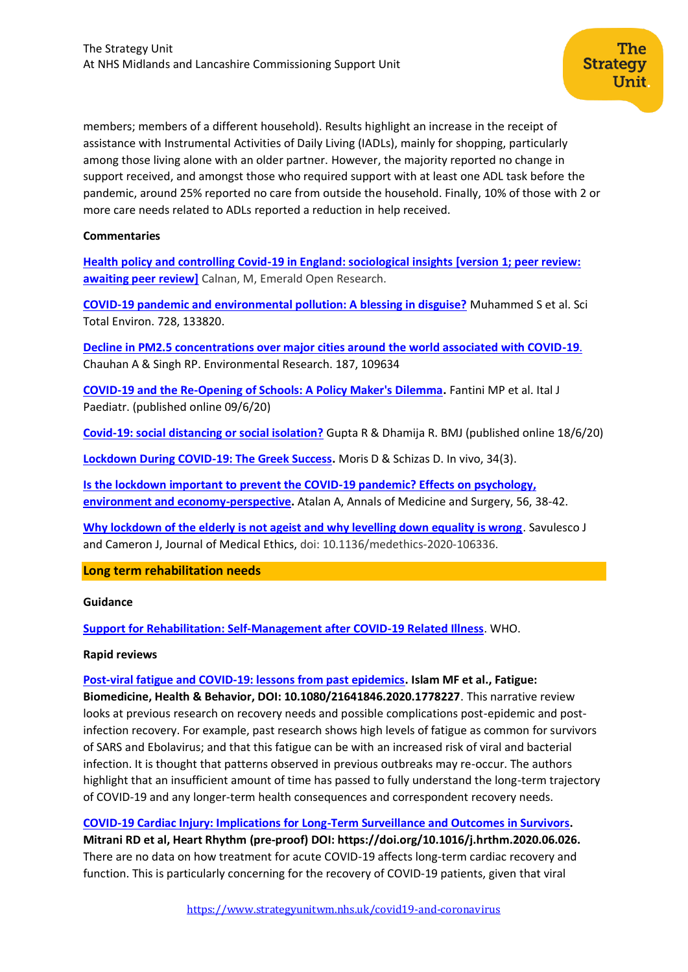members; members of a different household). Results highlight an increase in the receipt of assistance with Instrumental Activities of Daily Living (IADLs), mainly for shopping, particularly among those living alone with an older partner. However, the majority reported no change in support received, and amongst those who required support with at least one ADL task before the pandemic, around 25% reported no care from outside the household. Finally, 10% of those with 2 or more care needs related to ADLs reported a reduction in help received.

**Strategy** 

Unit

#### **Commentaries**

**[Health policy and controlling Covid-19 in England: sociological insights](https://emeraldopenresearch.com/articles/2-40/v1) [version 1; peer review: [awaiting peer review\]](https://emeraldopenresearch.com/articles/2-40/v1)** Calnan, M, Emerald Open Research.

**[COVID-19 pandemic and environmental pollution: A blessing in disguise?](https://www.ncbi.nlm.nih.gov/pmc/articles/PMC7169881/pdf/main.pdf)** Muhammed S et al. Sci Total Environ. 728, 133820.

**[Decline in PM2.5 concentrations over major cities around the world associated with COVID-19](https://www.ncbi.nlm.nih.gov/pmc/articles/PMC7199701/pdf/main.pdf)**. Chauhan A & Singh RP. Environmental Research. 187, 109634

**[COVID-19 and the Re-Opening of Schools: A Policy Maker's Dilemma.](https://www.ncbi.nlm.nih.gov/pmc/articles/PMC7280677/)** Fantini MP et al. Ital J Paediatr. (published online 09/6/20)

**[Covid-19: social distancing or social isolation?](https://www.bmj.com/content/369/bmj.m2399.long)** Gupta R & Dhamija R. BMJ (published online 18/6/20)

**[Lockdown During COVID-19: The Greek Success.](http://iv.iiarjournals.org/content/34/3_suppl/1695.long)** Moris D & Schizas D. In vivo, 34(3).

**[Is the lockdown important to prevent the COVID-19 pandemic? Effects on psychology,](https://www.sciencedirect.com/science/article/pii/S2049080120301485?via%3Dihub)  [environment and economy-perspective.](https://www.sciencedirect.com/science/article/pii/S2049080120301485?via%3Dihub)** Atalan A, Annals of Medicine and Surgery, 56, 38-42.

**[Why lockdown of the elderly is not ageist and why levelling down equality is wrong](https://jme.bmj.com/content/early/2020/06/18/medethics-2020-106336)**. Savulesco J and Cameron J, Journal of Medical Ethics, doi: 10.1136/medethics-2020-106336.

#### **Long term rehabilitation needs**

#### **Guidance**

**[Support for Rehabilitation: Self-Management after COVID-19 Related Illness](https://www.who.int/publications/m/item/support-for-rehabilitation-self-management-after-covid-19-related-illness)**. WHO.

#### **Rapid reviews**

**[Post-viral fatigue and COVID-19: lessons from past epidemics.](https://www.tandfonline.com/doi/full/10.1080/21641846.2020.1778227) Islam MF et al., Fatigue: Biomedicine, Health & Behavior, DOI: 10.1080/21641846.2020.1778227**. This narrative review looks at previous research on recovery needs and possible complications post-epidemic and postinfection recovery. For example, past research shows high levels of fatigue as common for survivors of SARS and Ebolavirus; and that this fatigue can be with an increased risk of viral and bacterial infection. It is thought that patterns observed in previous outbreaks may re-occur. The authors highlight that an insufficient amount of time has passed to fully understand the long-term trajectory of COVID-19 and any longer-term health consequences and correspondent recovery needs.

**[COVID-19 Cardiac Injury: Implications for Long-Term Surveillance and Outcomes in Survivors.](https://www.heartrhythmjournal.com/article/S1547-5271(20)30625-1/pdf)** 

**Mitrani RD et al, Heart Rhythm (pre-proof) DOI: https://doi.org/10.1016/j.hrthm.2020.06.026.** There are no data on how treatment for acute COVID-19 affects long-term cardiac recovery and function. This is particularly concerning for the recovery of COVID-19 patients, given that viral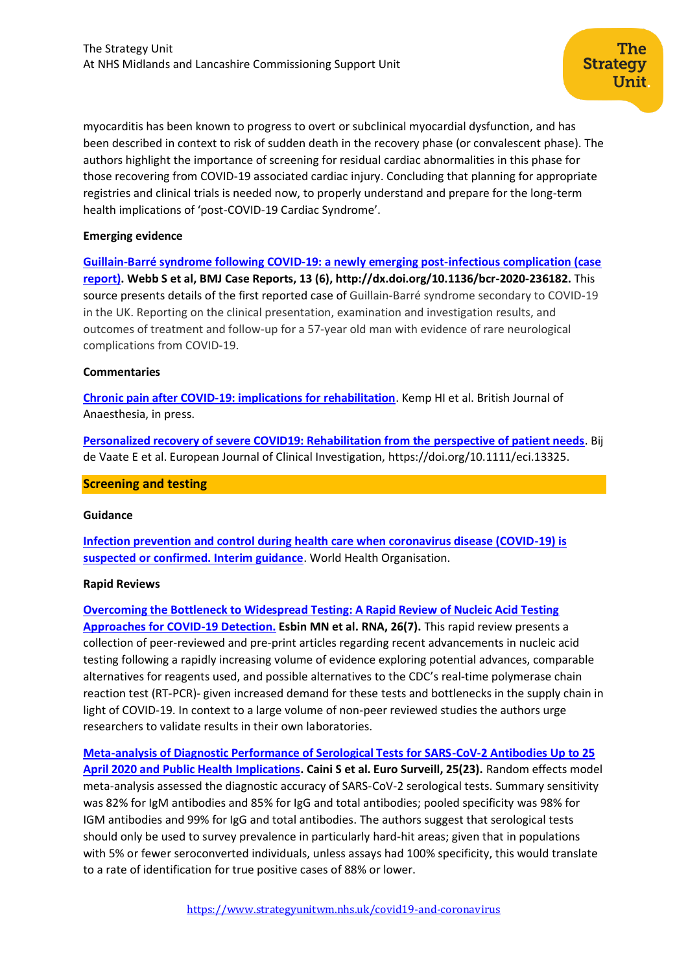myocarditis has been known to progress to overt or subclinical myocardial dysfunction, and has been described in context to risk of sudden death in the recovery phase (or convalescent phase). The authors highlight the importance of screening for residual cardiac abnormalities in this phase for those recovering from COVID-19 associated cardiac injury. Concluding that planning for appropriate registries and clinical trials is needed now, to properly understand and prepare for the long-term health implications of 'post-COVID-19 Cardiac Syndrome'.

The

Unit

**Strategy** 

#### **Emerging evidence**

**[Guillain-Barré syndrome following COVID-19: a newly emerging post-infectious complication \(case](https://casereports.bmj.com/content/13/6/e236182)  [report\).](https://casereports.bmj.com/content/13/6/e236182) Webb S et al, BMJ Case Reports, 13 (6)[, http://dx.doi.org/10.1136/bcr-2020-236182.](http://dx.doi.org/10.1136/bcr-2020-236182)** This source presents details of the first reported case of Guillain-Barré syndrome secondary to COVID-19 in the UK. Reporting on the clinical presentation, examination and investigation results, and outcomes of treatment and follow-up for a 57-year old man with evidence of rare neurological complications from COVID-19.

#### **Commentaries**

**[Chronic pain after COVID-19: implications for rehabilitation](https://bjanaesthesia.org/article/S0007-0912(20)30403-7/pdf)**. Kemp HI et al. British Journal of Anaesthesia, in press.

**[Personalized recovery of severe COVID19: Rehabilitation from the perspective of patient needs](https://onlinelibrary.wiley.com/doi/abs/10.1111/eci.13325)**. Bij de Vaate E et al. European Journal of Clinical Investigation, [https://doi.org/10.1111/eci.13325.](https://doi.org/10.1111/eci.13325)

#### <span id="page-5-0"></span>**Screening and testing**

#### **Guidance**

**[Infection prevention and control during health care when coronavirus disease \(COVID-19\) is](https://www.who.int/publications/i/item/WHO-2019-nCoV-IPC-2020.4)  [suspected or confirmed. Interim guidance](https://www.who.int/publications/i/item/WHO-2019-nCoV-IPC-2020.4)**. World Health Organisation.

#### **Rapid Reviews**

**[Overcoming the Bottleneck to Widespread Testing: A Rapid Review of Nucleic Acid Testing](https://pubmed.ncbi.nlm.nih.gov/32358057/)  [Approaches for COVID-19 Detection.](https://pubmed.ncbi.nlm.nih.gov/32358057/) Esbin MN et al. RNA, 26(7).** This rapid review presents a collection of peer-reviewed and pre-print articles regarding recent advancements in nucleic acid testing following a rapidly increasing volume of evidence exploring potential advances, comparable alternatives for reagents used, and possible alternatives to the CDC's real-time polymerase chain reaction test (RT-PCR)- given increased demand for these tests and bottlenecks in the supply chain in light of COVID-19. In context to a large volume of non-peer reviewed studies the authors urge researchers to validate results in their own laboratories.

**[Meta-analysis of Diagnostic Performance of Serological Tests for SARS-CoV-2 Antibodies Up to 25](https://pubmed.ncbi.nlm.nih.gov/32553061/)  [April 2020 and Public Health Implications.](https://pubmed.ncbi.nlm.nih.gov/32553061/) Caini S et al. Euro Surveill, 25(23).** Random effects model meta-analysis assessed the diagnostic accuracy of SARS-CoV-2 serological tests. Summary sensitivity was 82% for IgM antibodies and 85% for IgG and total antibodies; pooled specificity was 98% for IGM antibodies and 99% for IgG and total antibodies. The authors suggest that serological tests should only be used to survey prevalence in particularly hard-hit areas; given that in populations with 5% or fewer seroconverted individuals, unless assays had 100% specificity, this would translate to a rate of identification for true positive cases of 88% or lower.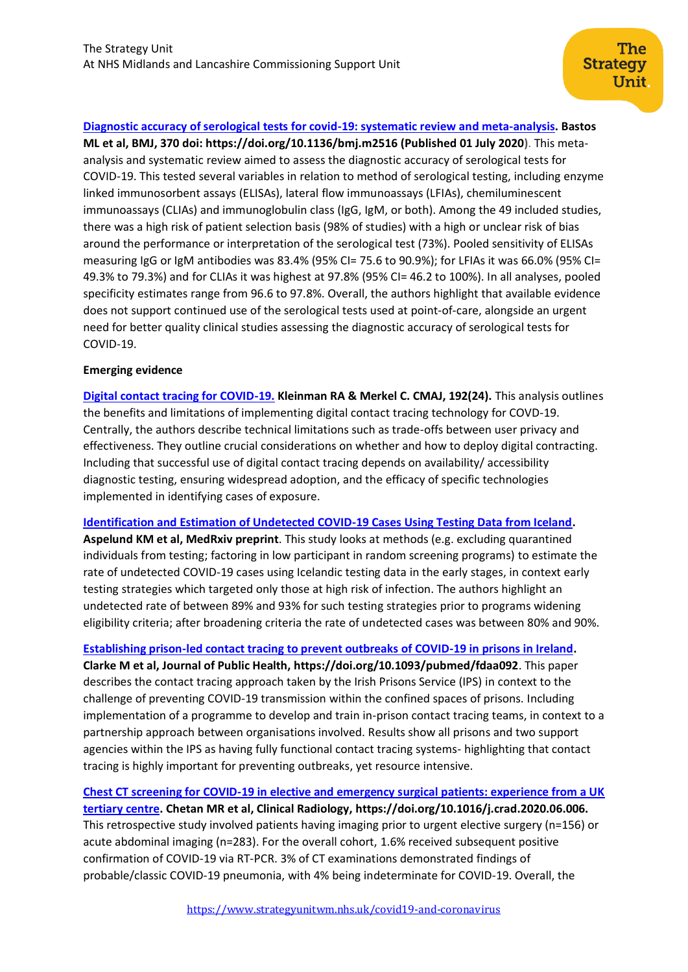**[Diagnostic accuracy of serological tests for covid-19: systematic review and meta-analysis.](https://www.bmj.com/content/370/bmj.m2516) Bastos ML et al, BMJ, 370 doi: <https://doi.org/10.1136/bmj.m2516> (Published 01 July 2020)**. This metaanalysis and systematic review aimed to assess the diagnostic accuracy of serological tests for COVID-19. This tested several variables in relation to method of serological testing, including enzyme linked immunosorbent assays (ELISAs), lateral flow immunoassays (LFIAs), chemiluminescent immunoassays (CLIAs) and immunoglobulin class (IgG, IgM, or both). Among the 49 included studies, there was a high risk of patient selection basis (98% of studies) with a high or unclear risk of bias around the performance or interpretation of the serological test (73%). Pooled sensitivity of ELISAs measuring IgG or IgM antibodies was 83.4% (95% CI= 75.6 to 90.9%); for LFIAs it was 66.0% (95% CI= 49.3% to 79.3%) and for CLIAs it was highest at 97.8% (95% CI= 46.2 to 100%). In all analyses, pooled specificity estimates range from 96.6 to 97.8%. Overall, the authors highlight that available evidence does not support continued use of the serological tests used at point-of-care, alongside an urgent need for better quality clinical studies assessing the diagnostic accuracy of serological tests for COVID-19.

# **Emerging evidence**

**[Digital contact tracing for COVID-19.](https://www.cmaj.ca/content/cmaj/192/24/E653.full.pdf) Kleinman RA & Merkel C. CMAJ, 192(24).** This analysis outlines the benefits and limitations of implementing digital contact tracing technology for COVD-19. Centrally, the authors describe technical limitations such as trade-offs between user privacy and effectiveness. They outline crucial considerations on whether and how to deploy digital contracting. Including that successful use of digital contact tracing depends on availability/ accessibility diagnostic testing, ensuring widespread adoption, and the efficacy of specific technologies implemented in identifying cases of exposure.

**[Identification and Estimation of Undetected COVID-19 Cases Using Testing Data from Iceland.](https://www.medrxiv.org/content/10.1101/2020.04.06.20055582v2.full.pdf) Aspelund KM et al, MedRxiv preprint**. This study looks at methods (e.g. excluding quarantined individuals from testing; factoring in low participant in random screening programs) to estimate the rate of undetected COVID-19 cases using Icelandic testing data in the early stages, in context early testing strategies which targeted only those at high risk of infection. The authors highlight an undetected rate of between 89% and 93% for such testing strategies prior to programs widening eligibility criteria; after broadening criteria the rate of undetected cases was between 80% and 90%.

**[Establishing prison-led contact tracing to prevent outbreaks of COVID-19 in prisons in Ireland.](https://academic.oup.com/jpubhealth/article/doi/10.1093/pubmed/fdaa092/5860596) Clarke M et al, Journal of Public Health, https://doi.org/10.1093/pubmed/fdaa092**. This paper describes the contact tracing approach taken by the Irish Prisons Service (IPS) in context to the challenge of preventing COVID-19 transmission within the confined spaces of prisons. Including implementation of a programme to develop and train in-prison contact tracing teams, in context to a partnership approach between organisations involved. Results show all prisons and two support agencies within the IPS as having fully functional contact tracing systems- highlighting that contact tracing is highly important for preventing outbreaks, yet resource intensive.

**[Chest CT screening for COVID-19 in elective and emergency surgical patients: experience from a UK](https://www.clinicalradiologyonline.net/article/S0009-9260(20)30219-1/pdf)  [tertiary centre.](https://www.clinicalradiologyonline.net/article/S0009-9260(20)30219-1/pdf) Chetan MR et al, Clinical Radiology, https://doi.org/10.1016/j.crad.2020.06.006.** This retrospective study involved patients having imaging prior to urgent elective surgery (n=156) or acute abdominal imaging (n=283). For the overall cohort, 1.6% received subsequent positive confirmation of COVID-19 via RT-PCR. 3% of CT examinations demonstrated findings of probable/classic COVID-19 pneumonia, with 4% being indeterminate for COVID-19. Overall, the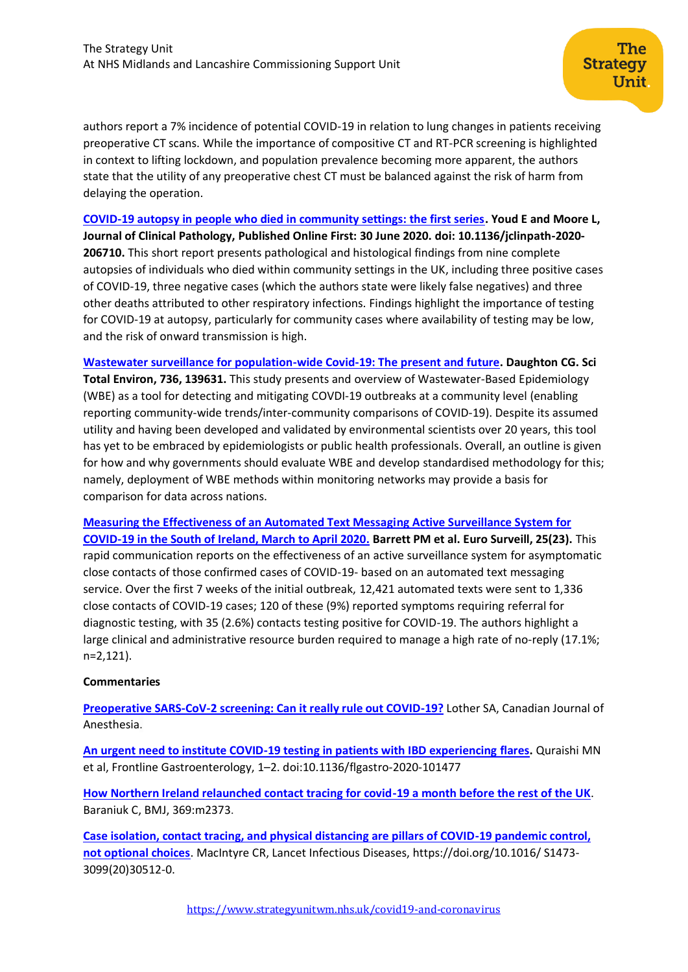authors report a 7% incidence of potential COVID-19 in relation to lung changes in patients receiving preoperative CT scans. While the importance of compositive CT and RT-PCR screening is highlighted in context to lifting lockdown, and population prevalence becoming more apparent, the authors state that the utility of any preoperative chest CT must be balanced against the risk of harm from delaying the operation.

**[COVID-19 autopsy in people who died in community settings: the first series.](https://jcp.bmj.com/content/early/2020/06/30/jclinpath-2020-206710) Youd E and Moore L, Journal of Clinical Pathology, Published Online First: 30 June 2020. doi: 10.1136/jclinpath-2020- 206710.** This short report presents pathological and histological findings from nine complete autopsies of individuals who died within community settings in the UK, including three positive cases of COVID-19, three negative cases (which the authors state were likely false negatives) and three other deaths attributed to other respiratory infections. Findings highlight the importance of testing for COVID-19 at autopsy, particularly for community cases where availability of testing may be low, and the risk of onward transmission is high.

**[Wastewater surveillance for population-wide Covid-19: The present and future.](https://www.ncbi.nlm.nih.gov/pmc/articles/PMC7245244/pdf/main.pdf) Daughton CG. Sci Total Environ, 736, 139631.** This study presents and overview of Wastewater-Based Epidemiology (WBE) as a tool for detecting and mitigating COVDI-19 outbreaks at a community level (enabling reporting community-wide trends/inter-community comparisons of COVID-19). Despite its assumed utility and having been developed and validated by environmental scientists over 20 years, this tool has yet to be embraced by epidemiologists or public health professionals. Overall, an outline is given for how and why governments should evaluate WBE and develop standardised methodology for this; namely, deployment of WBE methods within monitoring networks may provide a basis for comparison for data across nations.

**[Measuring the Effectiveness of an Automated Text Messaging Active Surveillance System for](https://pubmed.ncbi.nlm.nih.gov/32553064/)  [COVID-19 in the South of Ireland, March to April 2020.](https://pubmed.ncbi.nlm.nih.gov/32553064/) Barrett PM et al. Euro Surveill, 25(23).** This rapid communication reports on the effectiveness of an active surveillance system for asymptomatic close contacts of those confirmed cases of COVID-19- based on an automated text messaging service. Over the first 7 weeks of the initial outbreak, 12,421 automated texts were sent to 1,336 close contacts of COVID-19 cases; 120 of these (9%) reported symptoms requiring referral for diagnostic testing, with 35 (2.6%) contacts testing positive for COVID-19. The authors highlight a large clinical and administrative resource burden required to manage a high rate of no-reply (17.1%; n=2,121).

# **Commentaries**

**[Preoperative SARS-CoV-2 screening: Can it really rule out COVID-19?](https://link.springer.com/article/10.1007/s12630-020-01746-w)** Lother SA, Canadian Journal of Anesthesia.

**[An urgent need to institute COVID-19 testing in patients with IBD experiencing](https://covid-19.conacyt.mx/jspui/bitstream/1000/5498/1/1109243.pdf) flares.** Quraishi MN et al, Frontline Gastroenterology, 1–2. doi:10.1136/flgastro-2020-101477

**[How Northern Ireland relaunched contact tracing for covid-19 a month before the rest of the UK](https://www.bmj.com/content/369/bmj.m2373)**. Baraniuk C, BMJ, 369:m2373.

**[Case isolation, contact tracing, and physical distancing are pillars of COVID-19 pandemic control,](https://www.thelancet.com/pdfs/journals/laninf/PIIS1473-3099(20)30512-0.pdf)  [not optional choices](https://www.thelancet.com/pdfs/journals/laninf/PIIS1473-3099(20)30512-0.pdf)**. MacIntyre CR, Lancet Infectious Diseases, https://doi.org/10.1016/ S1473- 3099(20)30512-0.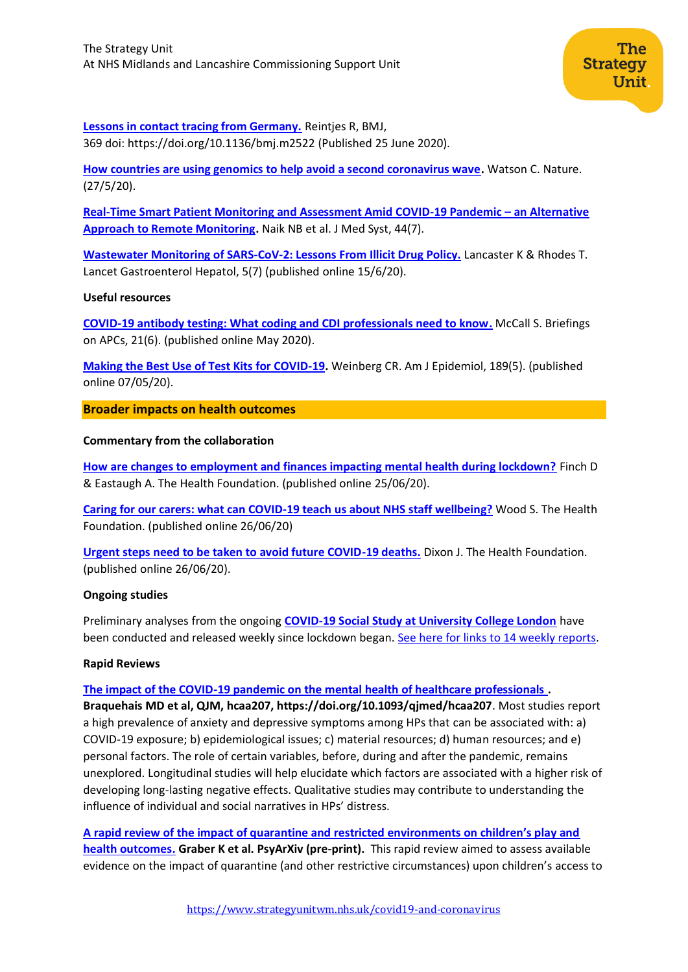

**[Lessons in contact tracing from Germany.](https://www.bmj.com/content/369/bmj.m2522)** Reintjes R, BMJ, 369 doi: https://doi.org/10.1136/bmj.m2522 (Published 25 June 2020).

**[How countries are using genomics to help avoid a second coronavirus wave.](https://www.nature.com/articles/d41586-020-01573-5)** Watson C. Nature. (27/5/20).

**[Real-Time Smart Patient Monitoring and Assessment Amid COVID-19 Pandemic](https://www.ncbi.nlm.nih.gov/pmc/articles/PMC7292797/) – an Alternative [Approach to Remote Monitoring.](https://www.ncbi.nlm.nih.gov/pmc/articles/PMC7292797/)** Naik NB et al. J Med Syst, 44(7).

**[Wastewater Monitoring of SARS-CoV-2: Lessons From Illicit Drug Policy.](https://pubmed.ncbi.nlm.nih.gov/32553143/)** Lancaster K & Rhodes T. Lancet Gastroenterol Hepatol, 5(7) (published online 15/6/20).

# **Useful resources**

<span id="page-8-0"></span>**[COVID-19 antibody testing: What coding and CDI professionals need to know.](https://search.proquest.com/docview/2415476462?accountid=145301)** McCall S. Briefings on APCs, 21(6). (published online May 2020).

**[Making the Best Use of Test Kits for COVID-19.](https://watermark.silverchair.com/kwaa080.pdf?token=AQECAHi208BE49Ooan9kkhW_Ercy7Dm3ZL_9Cf3qfKAc485ysgAAAo8wggKLBgkqhkiG9w0BBwagggJ8MIICeAIBADCCAnEGCSqGSIb3DQEHATAeBglghkgBZQMEAS4wEQQMdJiTg9CbkI28PaXgAgEQgIICQphn0bsrJbEeTbmLLdX0hVWmoc3CkeVFv1tL_ArYHjvVeXWKak-CJyQfnuKklcipdRD2CVRZoqXt14Ipq6qPGr06Apy22GVZMl17aDOvaC0tu0SHk6TBFqS0VkOPvaaTDU-cfjS8vztnp51PvLJgIq1KhV8A4iRMhhCQn4aXrzCN4aqZVbp-1wrwcSks4e97Heh5DUFkp_W3pyP-oeYRseo-Q2EfiwETBSlBMmPYDgn2qkmsMnJEgaHZT7oFG5EIRjnBBdqz6hFOLNynSYnroNsCqxKI307EMsHcfxCcIt0EBHHTF5Zd6sgMX4zOfZaq8GFZ9MmD86hQfs2kPWBLnoR_J1kqEr7DbfybOrzbQerxOkxFgivTdQNvlYrZMwp-aehT6w9GCPAnOQNGCtxdjNzaBq70AzVMQnwUg748g8gdcihZUU2_oxVqD82ETgdxfIzMuwpzL_vamVWUOBjCM7F1t7Gv0RyJ6-mjFoBLHOBGI-nQSExrTJmfvLJy_5gabHFFOsRMnftAbOCkGkIOISMY7IpXy1Kkrl-pInTp2L2fcFeeXS9Zq0ycRgSUW0DkoxHY0MQPWJ21FMIIn8ZD6vjbjDC9Q20qNoNBbepGu9ZxS0qpYnD9rhCe3e1Sf1HuekDaHf0K51yPp5bSJR6qu7NA9nZxIn9KfPY30CqQ59Ipn92I3UetVyfMjpz4-U3dmTZpwU3Z3M104HA5ICBVlGNIaUB2Y26Uq6Qb9NZ9Gafvvf80NmzAdzUCnhLiz-xalvtx)** Weinberg CR. Am J Epidemiol, 189(5). (published online 07/05/20).

**Broader impacts on health outcomes**

# **Commentary from the collaboration**

**[How are changes to employment and finances impacting mental health during lockdown?](https://www.health.org.uk/news-and-comment/charts-and-infographics/how-are-changes-to-employment-and-finances-impacting-mental-health-during-lockdown)** Finch D & Eastaugh A. The Health Foundation. (published online 25/06/20).

**[Caring for our carers: what can COVID-19 teach us about NHS staff wellbeing?](https://www.health.org.uk/news-and-comment/blogs/caring-for-our-carers-what-can-covid-19-teach-us-about-nhs-staff-wellbeing)** Wood S. The Health Foundation. (published online 26/06/20)

**[Urgent steps need to be taken to avoid future COVID-19 deaths.](https://www.health.org.uk/news-and-comment/news/urgent-steps-need-to-be-taken-to-avoid-future-covid-19-deaths)** Dixon J. The Health Foundation. (published online 26/06/20).

# **Ongoing studies**

Preliminary analyses from the ongoing **[COVID-19 Social Study at University College London](https://www.covidsocialstudy.org/)** have been conducted and released weekly since lockdown began. [See here for links to 14 weekly reports.](https://www.covidsocialstudy.org/results)

# **Rapid Reviews**

# **[The impact of the COVID-19 pandemic on the mental health of healthcare professionals](https://academic.oup.com/qjmed/article/doi/10.1093/qjmed/hcaa207/5860843) .**

**Braquehais MD et al, QJM, hcaa207, https://doi.org/10.1093/qjmed/hcaa207**. Most studies report a high prevalence of anxiety and depressive symptoms among HPs that can be associated with: a) COVID-19 exposure; b) epidemiological issues; c) material resources; d) human resources; and e) personal factors. The role of certain variables, before, during and after the pandemic, remains unexplored. Longitudinal studies will help elucidate which factors are associated with a higher risk of developing long-lasting negative effects. Qualitative studies may contribute to understanding the influence of individual and social narratives in HPs' distress.

**[A rapid review of the impact of quarantine and restricted environments on children's play and](https://psyarxiv.com/p6qxt)  [health outcomes.](https://psyarxiv.com/p6qxt) Graber K et al. PsyArXiv (pre-print).** This rapid review aimed to assess available evidence on the impact of quarantine (and other restrictive circumstances) upon children's access to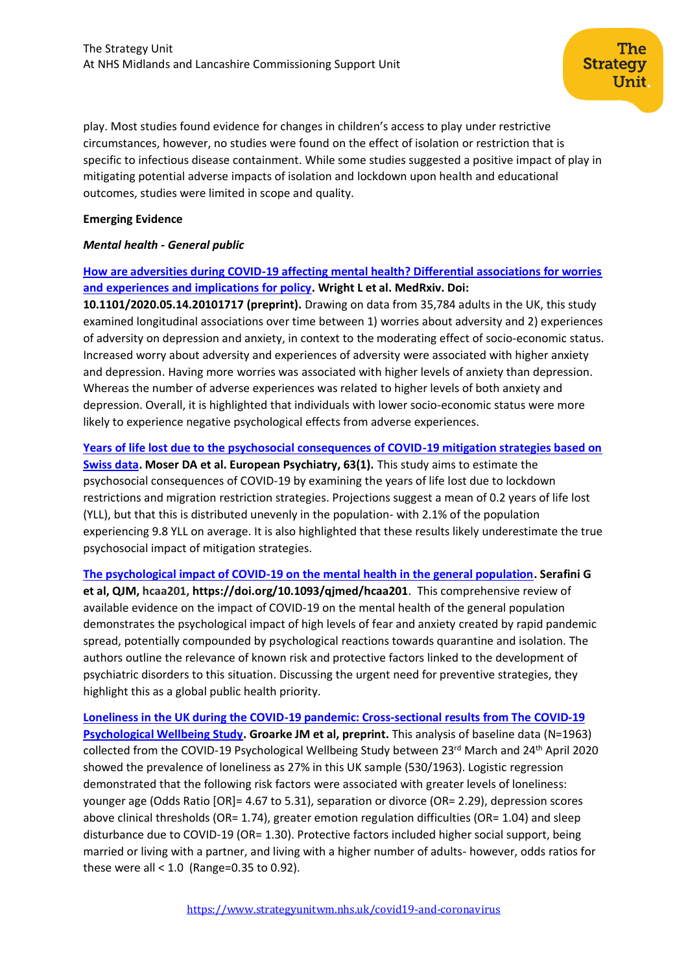play. Most studies found evidence for changes in children's access to play under restrictive circumstances, however, no studies were found on the effect of isolation or restriction that is specific to infectious disease containment. While some studies suggested a positive impact of play in mitigating potential adverse impacts of isolation and lockdown upon health and educational outcomes, studies were limited in scope and quality.

The

Unit

**Strategy** 

### **Emerging Evidence**

# *Mental health - General public*

**[How are adversities during COVID-19 affecting mental health? Differential associations for worries](https://www.medrxiv.org/content/10.1101/2020.05.14.20101717v1)  [and experiences and implications for policy.](https://www.medrxiv.org/content/10.1101/2020.05.14.20101717v1) Wright L et al. MedRxiv. Doi:** 

**10.1101/2020.05.14.20101717 (preprint).** Drawing on data from 35,784 adults in the UK, this study examined longitudinal associations over time between 1) worries about adversity and 2) experiences of adversity on depression and anxiety, in context to the moderating effect of socio-economic status. Increased worry about adversity and experiences of adversity were associated with higher anxiety and depression. Having more worries was associated with higher levels of anxiety than depression. Whereas the number of adverse experiences was related to higher levels of both anxiety and depression. Overall, it is highlighted that individuals with lower socio-economic status were more likely to experience negative psychological effects from adverse experiences.

#### **[Years of life lost due to the psychosocial consequences of COVID-19 mitigation strategies based on](https://www.cambridge.org/core/journals/european-psychiatry/article/years-of-life-lost-due-to-the-psychosocial-consequences-of-covid19-mitigation-strategies-based-on-swiss-data/B6BFC8BADF08FDD8350B01AAC6B22381)**

**[Swiss data.](https://www.cambridge.org/core/journals/european-psychiatry/article/years-of-life-lost-due-to-the-psychosocial-consequences-of-covid19-mitigation-strategies-based-on-swiss-data/B6BFC8BADF08FDD8350B01AAC6B22381) Moser DA et al. European Psychiatry, 63(1).** This study aims to estimate the psychosocial consequences of COVID-19 by examining the years of life lost due to lockdown restrictions and migration restriction strategies. Projections suggest a mean of 0.2 years of life lost (YLL), but that this is distributed unevenly in the population- with 2.1% of the population experiencing 9.8 YLL on average. It is also highlighted that these results likely underestimate the true psychosocial impact of mitigation strategies.

**[The psychological impact of COVID-19 on the mental health in the general population.](https://academic.oup.com/qjmed/article/doi/10.1093/qjmed/hcaa201/5860841) Serafini G et al, QJM, hcaa201, https://doi.org/10.1093/qjmed/hcaa201**. This comprehensive review of available evidence on the impact of COVID-19 on the mental health of the general population demonstrates the psychological impact of high levels of fear and anxiety created by rapid pandemic spread, potentially compounded by psychological reactions towards quarantine and isolation. The authors outline the relevance of known risk and protective factors linked to the development of psychiatric disorders to this situation. Discussing the urgent need for preventive strategies, they highlight this as a global public health priority.

**[Loneliness in the UK during the COVID-19 pandemic: Cross-sectional results from The](http://scholar.google.co.uk/scholar_url?url=https://psyarxiv.com/j2pce/download%3Fformat%3Dpdf&hl=en&sa=X&d=16443214296611559651&scisig=AAGBfm06XwJIQjED-YTg72esro1QukJiKA&nossl=1&oi=scholaralrt&html=) COVID-19 [Psychological Wellbeing Study.](http://scholar.google.co.uk/scholar_url?url=https://psyarxiv.com/j2pce/download%3Fformat%3Dpdf&hl=en&sa=X&d=16443214296611559651&scisig=AAGBfm06XwJIQjED-YTg72esro1QukJiKA&nossl=1&oi=scholaralrt&html=) Groarke JM et al, preprint.** This analysis of baseline data (N=1963) collected from the COVID-19 Psychological Wellbeing Study between 23rd March and 24<sup>th</sup> April 2020 showed the prevalence of loneliness as 27% in this UK sample (530/1963). Logistic regression demonstrated that the following risk factors were associated with greater levels of loneliness: younger age (Odds Ratio [OR]= 4.67 to 5.31), separation or divorce (OR= 2.29), depression scores above clinical thresholds (OR= 1.74), greater emotion regulation difficulties (OR= 1.04) and sleep disturbance due to COVID-19 (OR= 1.30). Protective factors included higher social support, being married or living with a partner, and living with a higher number of adults- however, odds ratios for these were all < 1.0 (Range=0.35 to 0.92).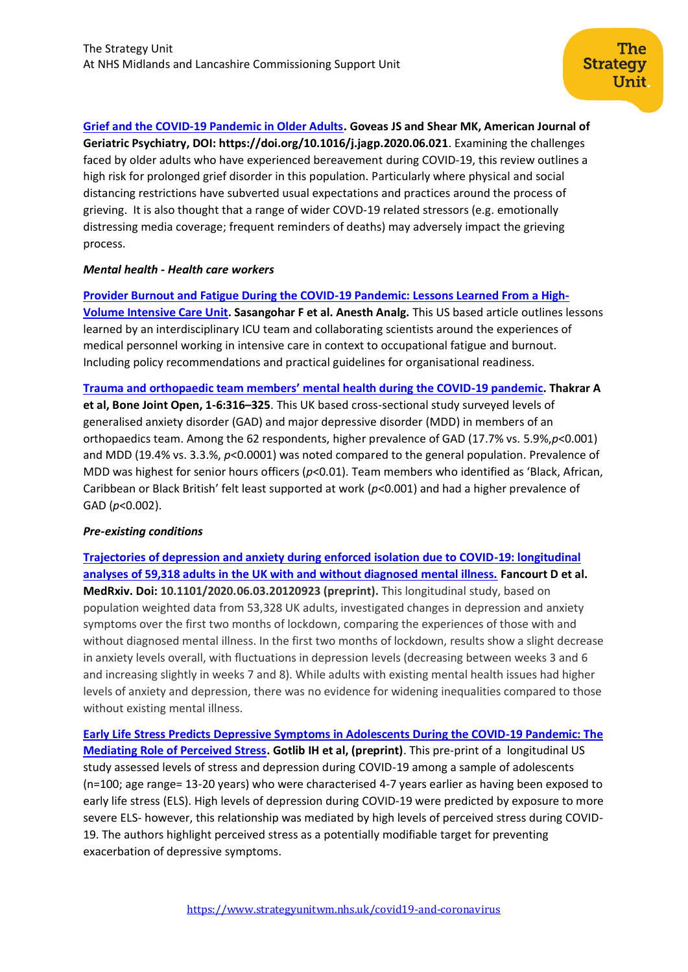**[Grief and the COVID-19 Pandemic in Older Adults.](https://www.ajgponline.org/article/S1064-7481(20)30397-3/fulltext) Goveas JS and Shear MK, American Journal of Geriatric Psychiatry, DOI: https://doi.org/10.1016/j.jagp.2020.06.021**. Examining the challenges faced by older adults who have experienced bereavement during COVID-19, this review outlines a high risk for prolonged grief disorder in this population. Particularly where physical and social distancing restrictions have subverted usual expectations and practices around the process of grieving. It is also thought that a range of wider COVD-19 related stressors (e.g. emotionally distressing media coverage; frequent reminders of deaths) may adversely impact the grieving process.

# *Mental health - Health care workers*

#### **[Provider Burnout and Fatigue During the COVID-19 Pandemic: Lessons Learned From a High-](https://www.ncbi.nlm.nih.gov/pmc/articles/PMC7173087/)**

**[Volume Intensive Care Unit.](https://www.ncbi.nlm.nih.gov/pmc/articles/PMC7173087/) Sasangohar F et al. Anesth Analg.** This US based article outlines lessons learned by an interdisciplinary ICU team and collaborating scientists around the experiences of medical personnel working in intensive care in context to occupational fatigue and burnout. Including policy recommendations and practical guidelines for organisational readiness.

**[Trauma and orthopaedic team members' mental health during the COVID](https://online.boneandjoint.org.uk/doi/pdf/10.1302/2046-3758.16.BJO-2020-0053.R1)-19 pandemic. Thakrar A** 

**et al, Bone Joint Open, 1-6:316–325**. This UK based cross-sectional study surveyed levels of generalised anxiety disorder (GAD) and major depressive disorder (MDD) in members of an orthopaedics team. Among the 62 respondents, higher prevalence of GAD (17.7% vs. 5.9%,*p*<0.001) and MDD (19.4% vs. 3.3.%, *p*<0.0001) was noted compared to the general population. Prevalence of MDD was highest for senior hours officers (*p*<0.01). Team members who identified as 'Black, African, Caribbean or Black British' felt least supported at work (*p*<0.001) and had a higher prevalence of GAD (*p*<0.002).

# *Pre-existing conditions*

**[Trajectories of depression and anxiety during enforced isolation due to COVID-19: longitudinal](https://www.medrxiv.org/content/10.1101/2020.06.03.20120923v1)  [analyses of 59,318 adults in the UK with and without diagnosed mental illness.](https://www.medrxiv.org/content/10.1101/2020.06.03.20120923v1) Fancourt D et al. MedRxiv. Doi: 10.1101/2020.06.03.20120923 (preprint).** This longitudinal study, based on population weighted data from 53,328 UK adults, investigated changes in depression and anxiety symptoms over the first two months of lockdown, comparing the experiences of those with and without diagnosed mental illness. In the first two months of lockdown, results show a slight decrease in anxiety levels overall, with fluctuations in depression levels (decreasing between weeks 3 and 6 and increasing slightly in weeks 7 and 8). While adults with existing mental health issues had higher levels of anxiety and depression, there was no evidence for widening inequalities compared to those without existing mental illness.

**[Early Life Stress Predicts Depressive Symptoms in Adolescents During the COVID-19 Pandemic: The](http://scholar.google.co.uk/scholar_url?url=https://psyarxiv.com/4dkaf/download%3Fformat%3Dpdf&hl=en&sa=X&d=5673034596796651164&scisig=AAGBfm0Ibbahzw0Aws1QntRBT-w3OIDvnA&nossl=1&oi=scholaralrt&html=)  [Mediating Role of Perceived Stress.](http://scholar.google.co.uk/scholar_url?url=https://psyarxiv.com/4dkaf/download%3Fformat%3Dpdf&hl=en&sa=X&d=5673034596796651164&scisig=AAGBfm0Ibbahzw0Aws1QntRBT-w3OIDvnA&nossl=1&oi=scholaralrt&html=) Gotlib IH et al, (preprint)**. This pre-print of a longitudinal US study assessed levels of stress and depression during COVID-19 among a sample of adolescents (n=100; age range= 13-20 years) who were characterised 4-7 years earlier as having been exposed to early life stress (ELS). High levels of depression during COVID-19 were predicted by exposure to more severe ELS- however, this relationship was mediated by high levels of perceived stress during COVID-19. The authors highlight perceived stress as a potentially modifiable target for preventing exacerbation of depressive symptoms.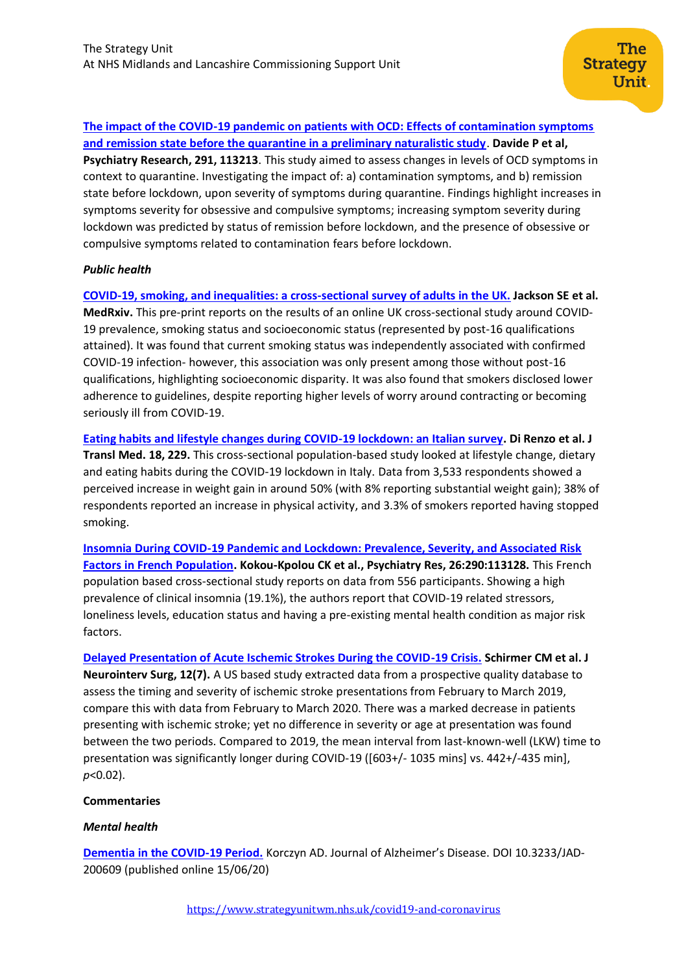**[The impact of the COVID-19 pandemic on patients with OCD: Effects of contamination symptoms](https://www.sciencedirect.com/science/article/pii/S0165178120311021?via%3Dihub)  [and remission state before the quarantine in a preliminary naturalistic study](https://www.sciencedirect.com/science/article/pii/S0165178120311021?via%3Dihub)**. **Davide P et al, Psychiatry Research, 291, 113213**. This study aimed to assess changes in levels of OCD symptoms in context to quarantine. Investigating the impact of: a) contamination symptoms, and b) remission state before lockdown, upon severity of symptoms during quarantine. Findings highlight increases in symptoms severity for obsessive and compulsive symptoms; increasing symptom severity during lockdown was predicted by status of remission before lockdown, and the presence of obsessive or compulsive symptoms related to contamination fears before lockdown.

# *Public health*

**[COVID-19, smoking, and inequalities: a cross-sectional survey of adults in the UK.](https://www.medrxiv.org/content/10.1101/2020.04.30.20086074v1) Jackson SE et al.** 

**MedRxiv.** This pre-print reports on the results of an online UK cross-sectional study around COVID-19 prevalence, smoking status and socioeconomic status (represented by post-16 qualifications attained). It was found that current smoking status was independently associated with confirmed COVID-19 infection- however, this association was only present among those without post-16 qualifications, highlighting socioeconomic disparity. It was also found that smokers disclosed lower adherence to guidelines, despite reporting higher levels of worry around contracting or becoming seriously ill from COVID-19.

**[Eating habits and lifestyle changes during COVID-19 lockdown: an Italian survey.](https://www.ncbi.nlm.nih.gov/pmc/articles/PMC7278251/) Di Renzo et al. J Transl Med. 18, 229.** This cross-sectional population-based study looked at lifestyle change, dietary and eating habits during the COVID-19 lockdown in Italy. Data from 3,533 respondents showed a perceived increase in weight gain in around 50% (with 8% reporting substantial weight gain); 38% of respondents reported an increase in physical activity, and 3.3% of smokers reported having stopped smoking.

**[Insomnia During COVID-19 Pandemic and Lockdown: Prevalence, Severity, and Associated Risk](https://pubmed.ncbi.nlm.nih.gov/32563951/)  [Factors in French Population.](https://pubmed.ncbi.nlm.nih.gov/32563951/) Kokou-Kpolou CK et al., Psychiatry Res, 26:290:113128.** This French population based cross-sectional study reports on data from 556 participants. Showing a high prevalence of clinical insomnia (19.1%), the authors report that COVID-19 related stressors, loneliness levels, education status and having a pre-existing mental health condition as major risk factors.

**[Delayed Presentation of Acute Ischemic Strokes During the COVID-19 Crisis.](https://pubmed.ncbi.nlm.nih.gov/32467244/) Schirmer CM et al. J Neurointerv Surg, 12(7).** A US based study extracted data from a prospective quality database to assess the timing and severity of ischemic stroke presentations from February to March 2019, compare this with data from February to March 2020. There was a marked decrease in patients presenting with ischemic stroke; yet no difference in severity or age at presentation was found between the two periods. Compared to 2019, the mean interval from last-known-well (LKW) time to presentation was significantly longer during COVID-19 ([603+/- 1035 mins] vs. 442+/-435 min], *p*<0.02).

# **Commentaries**

# *Mental health*

**[Dementia in the COVID-19 Period.](https://content.iospress.com/download/journal-of-alzheimers-disease/jad200609?id=journal-of-alzheimers-disease%2Fjad200609)** Korczyn AD. Journal of Alzheimer's Disease. DOI 10.3233/JAD-200609 (published online 15/06/20)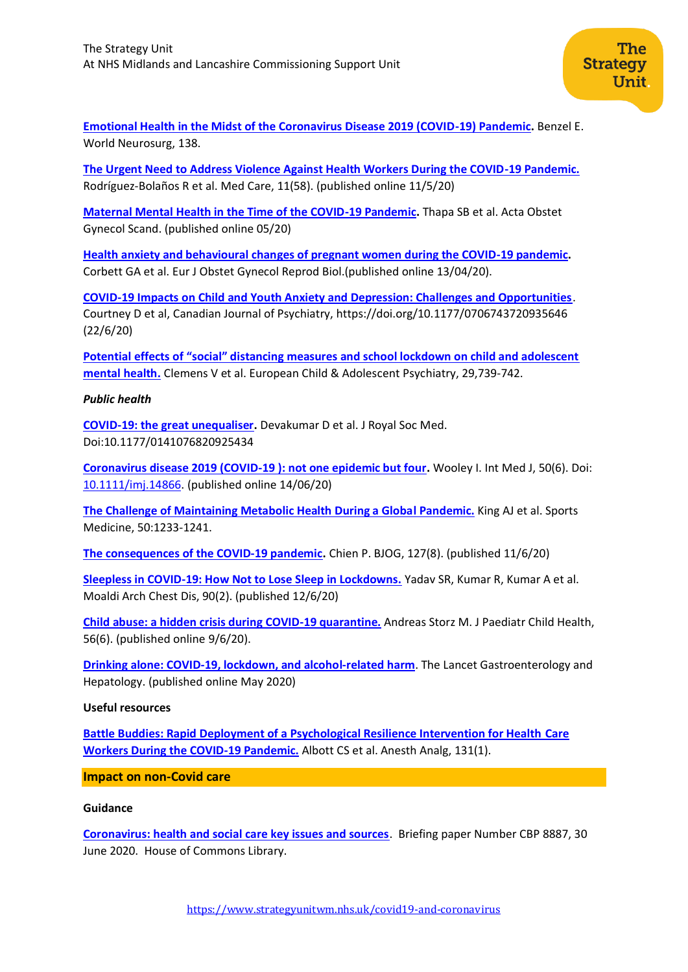**[Emotional Health in the Midst of the Coronavirus Disease 2019 \(COVID-19\) Pandemic.](https://www.ncbi.nlm.nih.gov/pmc/articles/PMC7286234/)** Benzel E. World Neurosurg, 138.

**[The Urgent Need to Address Violence Against Health Workers During the COVID-19 Pandemic.](https://www.ncbi.nlm.nih.gov/pmc/articles/PMC7314357/)** Rodríguez-Bolaños R et al. Med Care, 11(58). (published online 11/5/20)

**[Maternal Mental Health in the Time of the COVID-19 Pandemic.](https://www.ncbi.nlm.nih.gov/pmc/articles/PMC7267371/)** Thapa SB et al. Acta Obstet Gynecol Scand. (published online 05/20)

**[Health anxiety and behavioural changes of pregnant women during the COVID-19 pandemic.](https://www.ncbi.nlm.nih.gov/pmc/articles/PMC7194619/)** Corbett GA et al. Eur J Obstet Gynecol Reprod Biol.(published online 13/04/20).

**[COVID-19 Impacts on Child and Youth Anxiety and Depression: Challenges and Opportunities](https://journals.sagepub.com/doi/full/10.1177/0706743720935646)**. Courtney D et al, Canadian Journal of Psychiatry, https://doi.org/10.1177/0706743720935646 (22/6/20)

**[Potential effects of "social" distancing measures and school lockdown on child and adolescent](https://link.springer.com/content/pdf/10.1007/s00787-020-01549-w.pdf)  [mental health.](https://link.springer.com/content/pdf/10.1007/s00787-020-01549-w.pdf)** Clemens V et al. European Child & Adolescent Psychiatry, 29,739-742.

# *Public health*

**[COVID-19: the great unequaliser.](https://journals.sagepub.com/doi/full/10.1177/0141076820925434?url_ver=Z39.88-2003&rfr_id=ori:rid:crossref.org&rfr_dat=cr_pub%20%200pubmed)** Devakumar D et al. J Royal Soc Med. Doi:10.1177/0141076820925434

**[Coronavirus disease 2019 \(COVID‐19 \): not one epidemic but four](https://onlinelibrary.wiley.com/doi/full/10.1111/imj.14866).** Wooley I. Int Med J, 50(6). Doi: [10.1111/imj.14866.](https://doi.org/10.1111/imj.14866) (published online 14/06/20)

**[The Challenge of Maintaining Metabolic Health During a Global Pandemic.](https://www.ncbi.nlm.nih.gov/pmc/articles/PMC7245641/pdf/40279_2020_Article_1295.pdf)** King AJ et al. Sports Medicine, 50:1233-1241.

**[The consequences of the COVID‐19 pandemic](https://www.ncbi.nlm.nih.gov/pmc/articles/PMC7307029/).** Chien P. BJOG, 127(8). (published 11/6/20)

**[Sleepless in COVID-19: How Not to Lose Sleep in Lockdowns.](https://www.monaldi-archives.org/index.php/macd/article/view/1364)** Yadav SR, Kumar R, Kumar A et al. Moaldi Arch Chest Dis, 90(2). (published 12/6/20)

**[Child abuse: a hidden crisis during COVID-19 quarantine.](https://pubmed.ncbi.nlm.nih.gov/32515867/)** Andreas Storz M. J Paediatr Child Health, 56(6). (published online 9/6/20).

**[Drinking alone: COVID-19, lockdown, and alcohol-related harm](https://www.thelancet.com/pdfs/journals/langas/PIIS2468-1253(20)30159-X.pdf)**. The Lancet Gastroenterology and Hepatology. (published online May 2020)

#### **Useful resources**

**[Battle Buddies: Rapid Deployment of a Psychological Resilience Intervention for Health Care](https://pubmed.ncbi.nlm.nih.gov/32345861/)  [Workers During the COVID-19 Pandemic.](https://pubmed.ncbi.nlm.nih.gov/32345861/)** Albott CS et al. Anesth Analg, 131(1).

**Impact on non-Covid care**

#### **Guidance**

**[Coronavirus: health and social care key issues and sources](https://commonslibrary.parliament.uk/research-briefings/cbp-8887/)**. Briefing paper Number CBP 8887, 30 June 2020. House of Commons Library.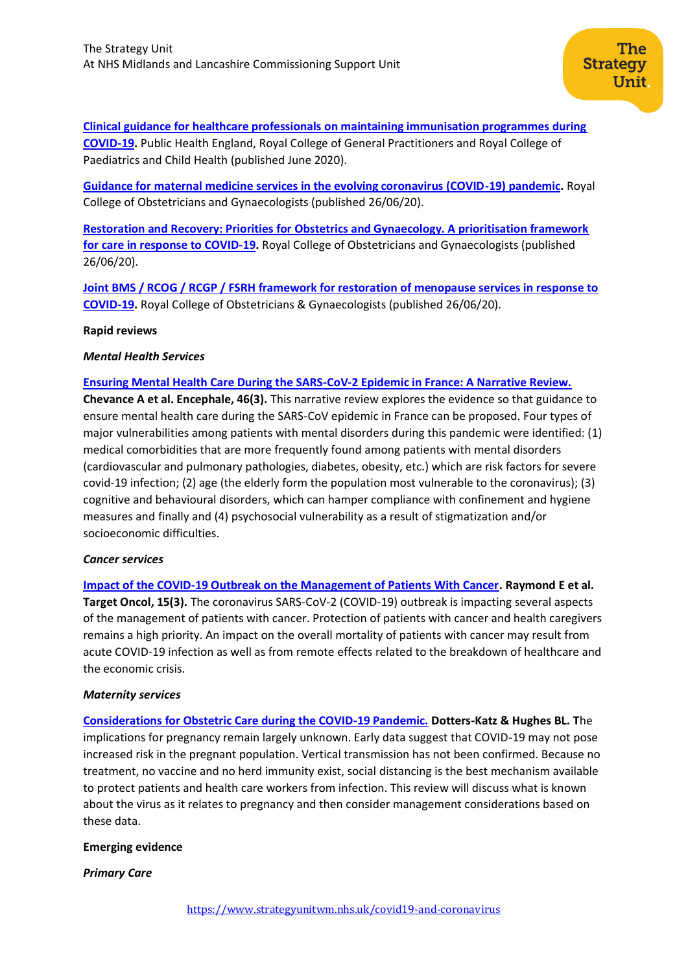**[Clinical guidance for healthcare professionals on maintaining immunisation programmes during](https://www.england.nhs.uk/coronavirus/wp-content/uploads/sites/52/2020/06/clinical-guidance-for-hcps-on-imms-for-covid-19.pdf)  [COVID-19.](https://www.england.nhs.uk/coronavirus/wp-content/uploads/sites/52/2020/06/clinical-guidance-for-hcps-on-imms-for-covid-19.pdf)** Public Health England, Royal College of General Practitioners and Royal College of Paediatrics and Child Health (published June 2020).

**[Guidance for maternal medicine services in the evolving coronavirus \(COVID-19\) pandemic.](https://www.rcog.org.uk/globalassets/documents/guidelines/2020-06-26-guidance-for-maternal-medicine-services-in-the-evolving-coronavirus-covid-19-pandemic.pdf)** Royal College of Obstetricians and Gynaecologists (published 26/06/20).

**[Restoration and Recovery: Priorities for Obstetrics and Gynaecology. A prioritisation framework](https://www.rcog.org.uk/globalassets/documents/guidelines/2020-06-26-restoration-and-recovery---priorities-for-obstetrics-and-gynaecology.pdf)  [for care in response to COVID-19.](https://www.rcog.org.uk/globalassets/documents/guidelines/2020-06-26-restoration-and-recovery---priorities-for-obstetrics-and-gynaecology.pdf)** Royal College of Obstetricians and Gynaecologists (published 26/06/20).

**[Joint BMS / RCOG / RCGP / FSRH framework for restoration of menopause services in response to](https://www.rcog.org.uk/globalassets/documents/guidelines/framework-for-restoration-of-menopause-services-2020.pdf)  [COVID-19.](https://www.rcog.org.uk/globalassets/documents/guidelines/framework-for-restoration-of-menopause-services-2020.pdf)** Royal College of Obstetricians & Gynaecologists (published 26/06/20).

#### **Rapid reviews**

#### *Mental Health Services*

#### **[Ensuring Mental Health Care During the SARS-CoV-2 Epidemic in France: A Narrative Review.](https://pubmed.ncbi.nlm.nih.gov/32370982/)**

**Chevance A et al. Encephale, 46(3).** This narrative review explores the evidence so that guidance to ensure mental health care during the SARS-CoV epidemic in France can be proposed. Four types of major vulnerabilities among patients with mental disorders during this pandemic were identified: (1) medical comorbidities that are more frequently found among patients with mental disorders (cardiovascular and pulmonary pathologies, diabetes, obesity, etc.) which are risk factors for severe covid-19 infection; (2) age (the elderly form the population most vulnerable to the coronavirus); (3) cognitive and behavioural disorders, which can hamper compliance with confinement and hygiene measures and finally and (4) psychosocial vulnerability as a result of stigmatization and/or socioeconomic difficulties.

#### *Cancer services*

**[Impact of the COVID-19 Outbreak on the Management of Patients With Cancer.](https://pubmed.ncbi.nlm.nih.gov/32445083/) Raymond E et al. Target Oncol, 15(3).** The coronavirus SARS-CoV-2 (COVID-19) outbreak is impacting several aspects of the management of patients with cancer. Protection of patients with cancer and health caregivers remains a high priority. An impact on the overall mortality of patients with cancer may result from acute COVID-19 infection as well as from remote effects related to the breakdown of healthcare and the economic crisis.

#### *Maternity services*

**[Considerations for Obstetric Care during the COVID-19 Pandemic.](https://www.thieme-connect.de/products/ejournals/pdf/10.1055/s-0040-1710051.pdf) Dotters-Katz & Hughes BL. T**he implications for pregnancy remain largely unknown. Early data suggest that COVID-19 may not pose increased risk in the pregnant population. Vertical transmission has not been confirmed. Because no treatment, no vaccine and no herd immunity exist, social distancing is the best mechanism available to protect patients and health care workers from infection. This review will discuss what is known about the virus as it relates to pregnancy and then consider management considerations based on these data.

#### **Emerging evidence**

# *Primary Care*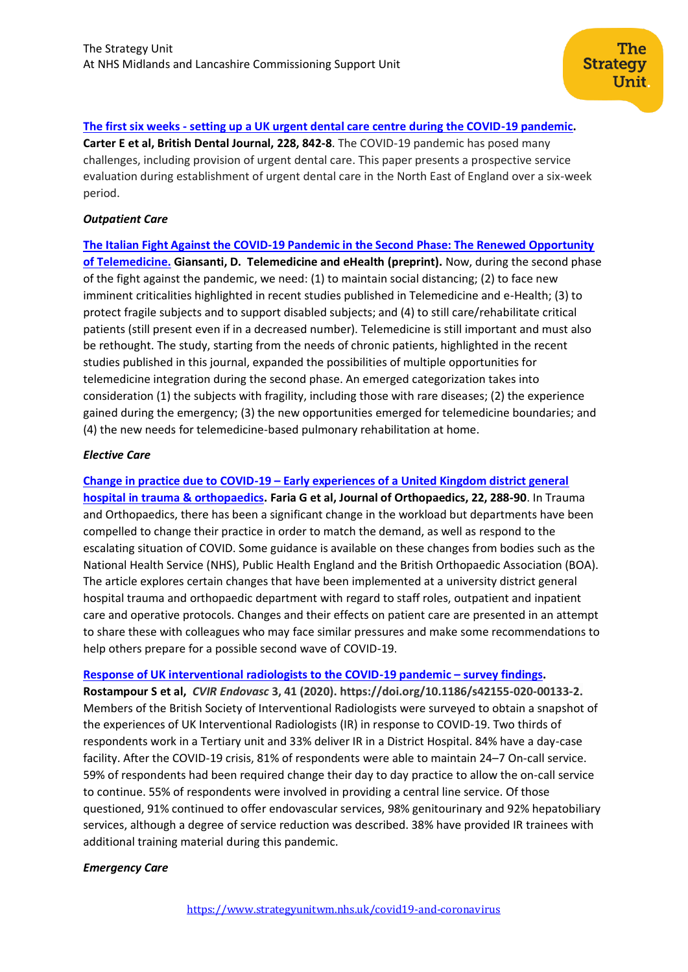# **The first six weeks - [setting up a UK urgent dental care centre during the COVID-19 pandemic.](https://www.nature.com/articles/s41415-020-1708-2)**

**Carter E et al, British Dental Journal, 228, 842-8**. The COVID-19 pandemic has posed many challenges, including provision of urgent dental care. This paper presents a prospective service evaluation during establishment of urgent dental care in the North East of England over a six-week period.

#### *Outpatient Care*

**[The Italian Fight Against the COVID-19 Pandemic in the Second Phase: The Renewed Opportunity](https://www.liebertpub.com/doi/pdf/10.1089/tmj.2020.0212)  [of Telemedicine.](https://www.liebertpub.com/doi/pdf/10.1089/tmj.2020.0212) Giansanti, D. Telemedicine and eHealth (preprint).** Now, during the second phase of the fight against the pandemic, we need: (1) to maintain social distancing; (2) to face new imminent criticalities highlighted in recent studies published in Telemedicine and e-Health; (3) to protect fragile subjects and to support disabled subjects; and (4) to still care/rehabilitate critical patients (still present even if in a decreased number). Telemedicine is still important and must also be rethought. The study, starting from the needs of chronic patients, highlighted in the recent studies published in this journal, expanded the possibilities of multiple opportunities for telemedicine integration during the second phase. An emerged categorization takes into consideration (1) the subjects with fragility, including those with rare diseases; (2) the experience gained during the emergency; (3) the new opportunities emerged for telemedicine boundaries; and (4) the new needs for telemedicine-based pulmonary rehabilitation at home.

#### *Elective Care*

**Change in practice due to COVID-19 – [Early experiences of a United Kingdom district general](https://www.sciencedirect.com/science/article/pii/S0972978X20302105?via%3Dihub)  [hospital in trauma & orthopaedics.](https://www.sciencedirect.com/science/article/pii/S0972978X20302105?via%3Dihub) Faria G et al, Journal of Orthopaedics, 22, 288-90**. In Trauma and Orthopaedics, there has been a significant change in the workload but departments have been compelled to change their practice in order to match the demand, as well as respond to the escalating situation of COVID. Some guidance is available on these changes from bodies such as the National Health Service (NHS), Public Health England and the British Orthopaedic Association (BOA). The article explores certain changes that have been implemented at a university district general hospital trauma and orthopaedic department with regard to staff roles, outpatient and inpatient care and operative protocols. Changes and their effects on patient care are presented in an attempt to share these with colleagues who may face similar pressures and make some recommendations to help others prepare for a possible second wave of COVID-19.

#### **[Response of UK interventional radiologists to the COVID-19 pandemic](https://cvirendovasc.springeropen.com/articles/10.1186/s42155-020-00133-2) – survey findings.**

**Rostampour S et al,** *CVIR Endovasc* **3, 41 (2020). https://doi.org/10.1186/s42155-020-00133-2.**  Members of the British Society of Interventional Radiologists were surveyed to obtain a snapshot of the experiences of UK Interventional Radiologists (IR) in response to COVID-19. Two thirds of respondents work in a Tertiary unit and 33% deliver IR in a District Hospital. 84% have a day-case facility. After the COVID-19 crisis, 81% of respondents were able to maintain 24–7 On-call service. 59% of respondents had been required change their day to day practice to allow the on-call service to continue. 55% of respondents were involved in providing a central line service. Of those questioned, 91% continued to offer endovascular services, 98% genitourinary and 92% hepatobiliary services, although a degree of service reduction was described. 38% have provided IR trainees with additional training material during this pandemic.

# *Emergency Care*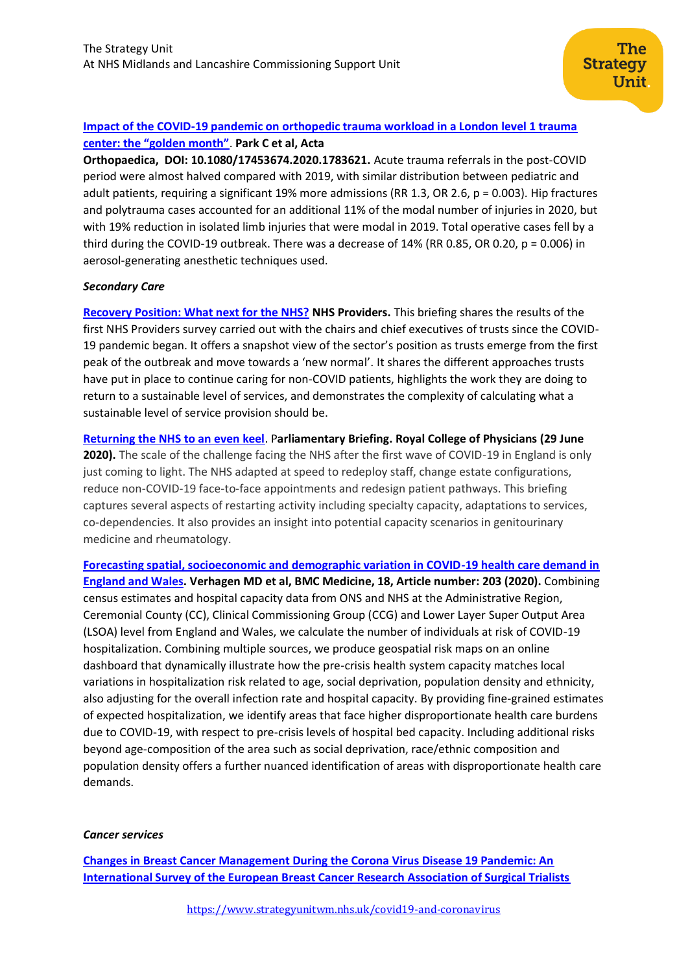# **[Impact of the COVID-19 pandemic on orthopedic trauma workload in a London level 1 trauma](https://www.tandfonline.com/doi/full/10.1080/17453674.2020.1783621)  [center: the "golden month"](https://www.tandfonline.com/doi/full/10.1080/17453674.2020.1783621)**. **Park C et al, Acta**

**Orthopaedica, DOI: [10.1080/17453674.2020.1783621.](https://doi.org/10.1080/17453674.2020.1783621)** Acute trauma referrals in the post-COVID period were almost halved compared with 2019, with similar distribution between pediatric and adult patients, requiring a significant 19% more admissions (RR 1.3, OR 2.6, p = 0.003). Hip fractures and polytrauma cases accounted for an additional 11% of the modal number of injuries in 2020, but with 19% reduction in isolated limb injuries that were modal in 2019. Total operative cases fell by a third during the COVID-19 outbreak. There was a decrease of 14% (RR 0.85, OR 0.20, p = 0.006) in aerosol-generating anesthetic techniques used.

# *Secondary Care*

**[Recovery Position: What next for the NHS?](https://nhsproviders.org/media/689775/recovery-position-what-next-for-the-nhs.pdf) NHS Providers.** This briefing shares the results of the first NHS Providers survey carried out with the chairs and chief executives of trusts since the COVID-19 pandemic began. It offers a snapshot view of the sector's position as trusts emerge from the first peak of the outbreak and move towards a 'new normal'. It shares the different approaches trusts have put in place to continue caring for non-COVID patients, highlights the work they are doing to return to a sustainable level of services, and demonstrates the complexity of calculating what a sustainable level of service provision should be.

**[Returning the NHS to an even keel](https://www.rcplondon.ac.uk/guidelines-policy/returning-nhs-even-keel)**. P**arliamentary Briefing. Royal College of Physicians (29 June 2020).** The scale of the challenge facing the NHS after the first wave of COVID-19 in England is only just coming to light. The NHS adapted at speed to redeploy staff, change estate configurations, reduce non-COVID-19 face-to-face appointments and redesign patient pathways. This briefing captures several aspects of restarting activity including specialty capacity, adaptations to services, co-dependencies. It also provides an insight into potential capacity scenarios in genitourinary medicine and rheumatology.

**[Forecasting spatial, socioeconomic and demographic variation in COVID-19 health care demand in](https://bmcmedicine.biomedcentral.com/articles/10.1186/s12916-020-01646-2)  [England and Wales.](https://bmcmedicine.biomedcentral.com/articles/10.1186/s12916-020-01646-2) Verhagen MD et al, BMC Medicine, 18, Article number: 203 (2020).** Combining census estimates and hospital capacity data from ONS and NHS at the Administrative Region, Ceremonial County (CC), Clinical Commissioning Group (CCG) and Lower Layer Super Output Area (LSOA) level from England and Wales, we calculate the number of individuals at risk of COVID-19 hospitalization. Combining multiple sources, we produce geospatial risk maps on an online dashboard that dynamically illustrate how the pre-crisis health system capacity matches local variations in hospitalization risk related to age, social deprivation, population density and ethnicity, also adjusting for the overall infection rate and hospital capacity. By providing fine-grained estimates of expected hospitalization, we identify areas that face higher disproportionate health care burdens due to COVID-19, with respect to pre-crisis levels of hospital bed capacity. Including additional risks beyond age-composition of the area such as social deprivation, race/ethnic composition and population density offers a further nuanced identification of areas with disproportionate health care demands.

# *Cancer services*

**[Changes in Breast Cancer Management During the Corona Virus Disease 19 Pandemic: An](https://pubmed.ncbi.nlm.nih.gov/32502796/)  [International Survey of the European Breast Cancer Research Association of Surgical Trialists](https://pubmed.ncbi.nlm.nih.gov/32502796/)**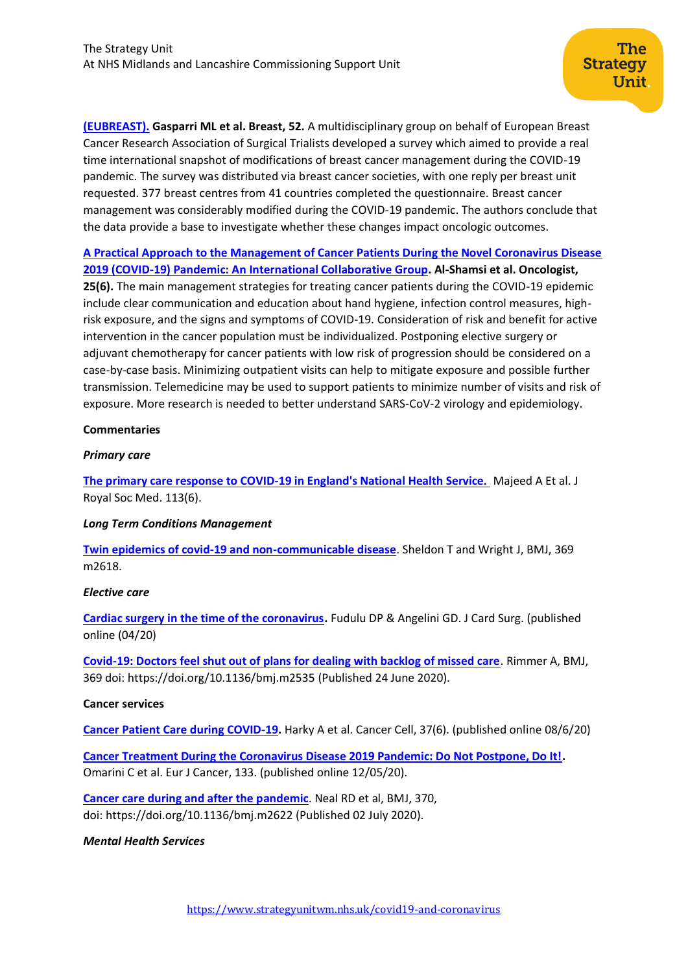**[\(EUBREAST\).](https://pubmed.ncbi.nlm.nih.gov/32502796/) Gasparri ML et al. Breast, 52.** A multidisciplinary group on behalf of European Breast Cancer Research Association of Surgical Trialists developed a survey which aimed to provide a real time international snapshot of modifications of breast cancer management during the COVID-19 pandemic. The survey was distributed via breast cancer societies, with one reply per breast unit requested. 377 breast centres from 41 countries completed the questionnaire. Breast cancer management was considerably modified during the COVID-19 pandemic. The authors conclude that the data provide a base to investigate whether these changes impact oncologic outcomes.

**[A Practical Approach to the Management of Cancer Patients During the Novel Coronavirus Disease](https://www.ncbi.nlm.nih.gov/pmc/articles/PMC7288661/)  [2019 \(COVID‐19\) Pandemic: An International Col](https://www.ncbi.nlm.nih.gov/pmc/articles/PMC7288661/)laborative Group. Al-Shamsi et al. Oncologist,** 

**25(6).** The main management strategies for treating cancer patients during the COVID-19 epidemic include clear communication and education about hand hygiene, infection control measures, highrisk exposure, and the signs and symptoms of COVID-19. Consideration of risk and benefit for active intervention in the cancer population must be individualized. Postponing elective surgery or adjuvant chemotherapy for cancer patients with low risk of progression should be considered on a case-by-case basis. Minimizing outpatient visits can help to mitigate exposure and possible further transmission. Telemedicine may be used to support patients to minimize number of visits and risk of exposure. More research is needed to better understand SARS-CoV-2 virology and epidemiology.

#### **Commentaries**

#### *Primary care*

**[The primary care response to COVID-19 in England's National Health Service.](https://spiral.imperial.ac.uk/handle/10044/1/80057)** Majeed A Et al. J Royal Soc Med. 113(6).

#### *Long Term Conditions Management*

**[Twin epidemics of covid-19 and non-communicable disease](https://www.bmj.com/content/369/bmj.m2618)**. Sheldon T and Wright J, BMJ, 369 m2618.

#### *Elective care*

**[Cardiac surgery in the time of the coronavirus.](https://www.ncbi.nlm.nih.gov/pmc/articles/PMC7267513/pdf/JOCS-9999-na.pdf)** Fudulu DP & Angelini GD. J Card Surg. (published online (04/20)

**[Covid-19: Doctors feel shut out of plans for dealing with backlog of missed care](https://www.bmj.com/content/369/bmj.m2535)**. Rimmer A, BMJ, 369 doi: <https://doi.org/10.1136/bmj.m2535> (Published 24 June 2020).

#### **Cancer services**

**[Cancer Patient Care during COVID-19.](https://www.ncbi.nlm.nih.gov/pmc/articles/PMC7221386/pdf/main.pdf)** Harky A et al. Cancer Cell, 37(6). (published online 08/6/20)

**[Cancer Treatment During the Coronavirus Disease 2019 Pandemic: Do Not Postpone, Do It!.](https://www.ncbi.nlm.nih.gov/pmc/articles/PMC7214318/pdf/main.pdf)**  Omarini C et al. Eur J Cancer, 133. (published online 12/05/20).

**[Cancer care during and after the pandemic](https://www.bmj.com/content/370/bmj.m2622)**. Neal RD et al, BMJ, 370, doi: <https://doi.org/10.1136/bmj.m2622> (Published 02 July 2020).

# *Mental Health Services*